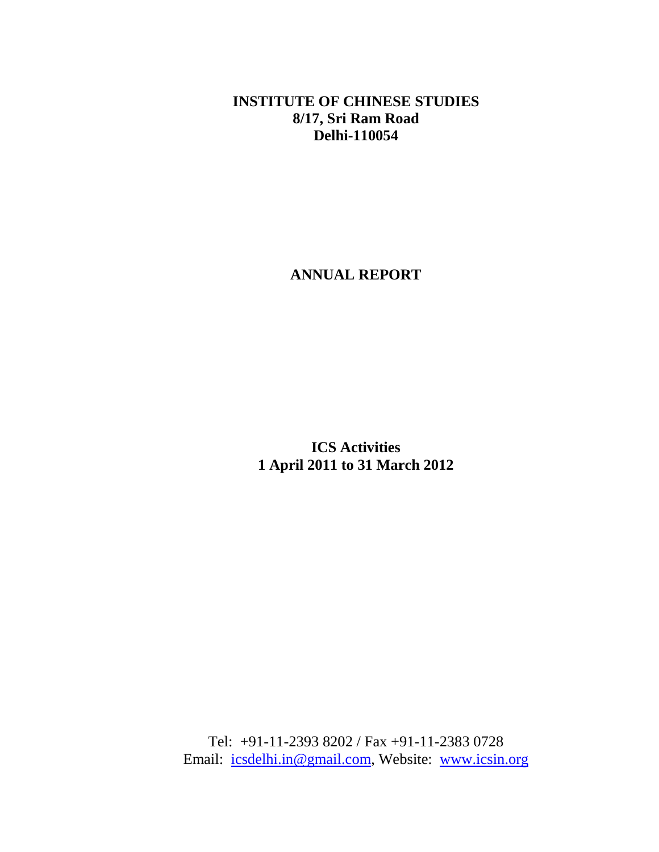**INSTITUTE OF CHINESE STUDIES 8/17, Sri Ram Road Delhi-110054**

**ANNUAL REPORT**

**ICS Activities 1 April 2011 to 31 March 2012**

Tel: +91-11-2393 8202 / Fax +91-11-2383 0728 Email: [icsdelhi.in@gmail.com,](mailto:icsdelhi.in@gmail.com) Website: [www.icsin.org](http://www.icsin.org/)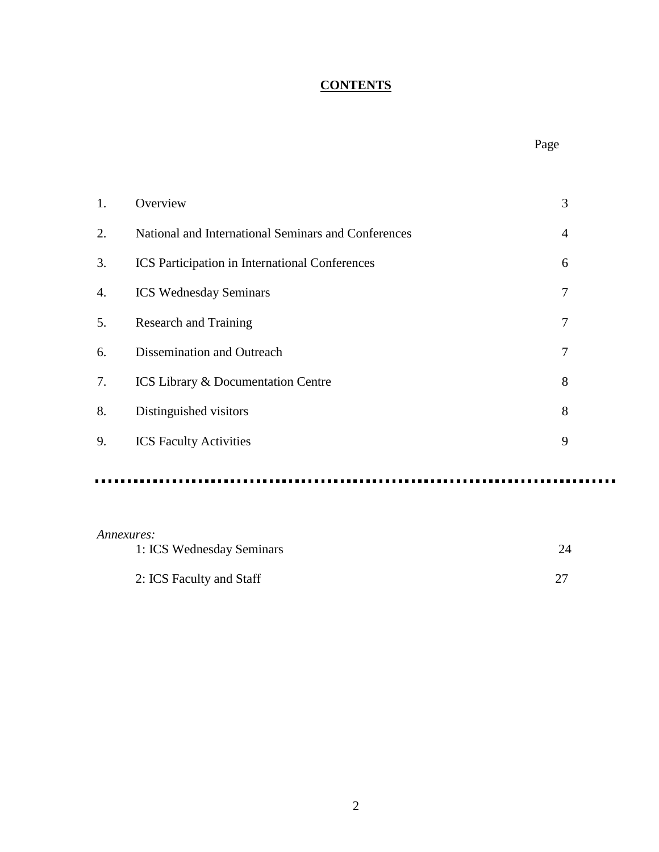# **CONTENTS**

| 1. | Overview                                            | 3              |
|----|-----------------------------------------------------|----------------|
| 2. | National and International Seminars and Conferences | $\overline{4}$ |
| 3. | ICS Participation in International Conferences      | 6              |
| 4. | <b>ICS Wednesday Seminars</b>                       | 7              |
| 5. | <b>Research and Training</b>                        | 7              |
| 6. | Dissemination and Outreach                          | 7              |
| 7. | ICS Library & Documentation Centre                  | 8              |
| 8. | Distinguished visitors                              | 8              |
| 9. | <b>ICS Faculty Activities</b>                       | 9              |
|    |                                                     |                |
|    |                                                     |                |

## *Annexures:*

| 1: ICS Wednesday Seminars |  |
|---------------------------|--|
| 2: ICS Faculty and Staff  |  |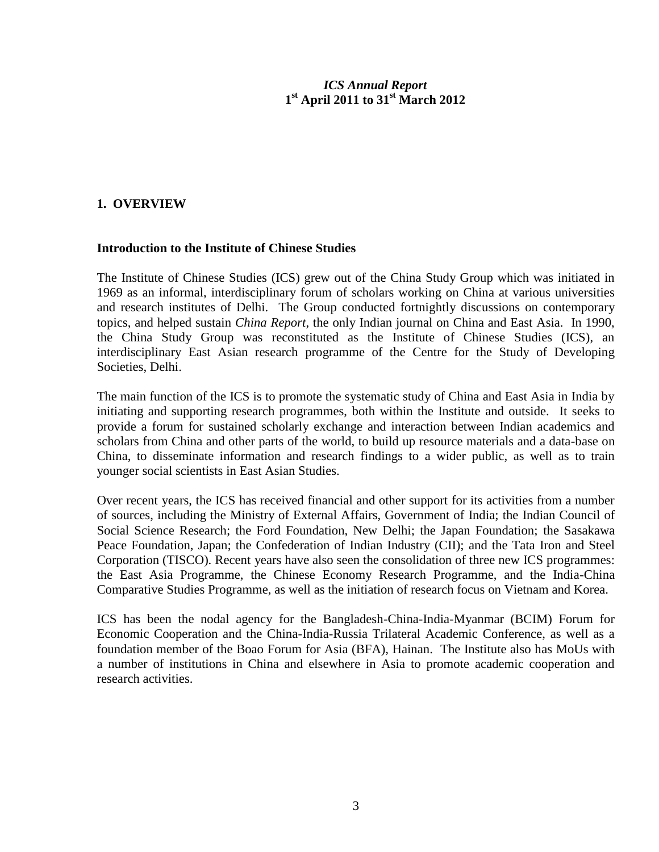# *ICS Annual Report* **1 st April 2011 to 31st March 2012**

## **1. OVERVIEW**

#### **Introduction to the Institute of Chinese Studies**

The Institute of Chinese Studies (ICS) grew out of the China Study Group which was initiated in 1969 as an informal, interdisciplinary forum of scholars working on China at various universities and research institutes of Delhi. The Group conducted fortnightly discussions on contemporary topics, and helped sustain *China Report*, the only Indian journal on China and East Asia. In 1990, the China Study Group was reconstituted as the Institute of Chinese Studies (ICS), an interdisciplinary East Asian research programme of the Centre for the Study of Developing Societies, Delhi.

The main function of the ICS is to promote the systematic study of China and East Asia in India by initiating and supporting research programmes, both within the Institute and outside. It seeks to provide a forum for sustained scholarly exchange and interaction between Indian academics and scholars from China and other parts of the world, to build up resource materials and a data-base on China, to disseminate information and research findings to a wider public, as well as to train younger social scientists in East Asian Studies.

Over recent years, the ICS has received financial and other support for its activities from a number of sources, including the Ministry of External Affairs, Government of India; the Indian Council of Social Science Research; the Ford Foundation, New Delhi; the Japan Foundation; the Sasakawa Peace Foundation, Japan; the Confederation of Indian Industry (CII); and the Tata Iron and Steel Corporation (TISCO). Recent years have also seen the consolidation of three new ICS programmes: the East Asia Programme, the Chinese Economy Research Programme, and the India-China Comparative Studies Programme, as well as the initiation of research focus on Vietnam and Korea.

ICS has been the nodal agency for the Bangladesh-China-India-Myanmar (BCIM) Forum for Economic Cooperation and the China-India-Russia Trilateral Academic Conference, as well as a foundation member of the Boao Forum for Asia (BFA), Hainan. The Institute also has MoUs with a number of institutions in China and elsewhere in Asia to promote academic cooperation and research activities.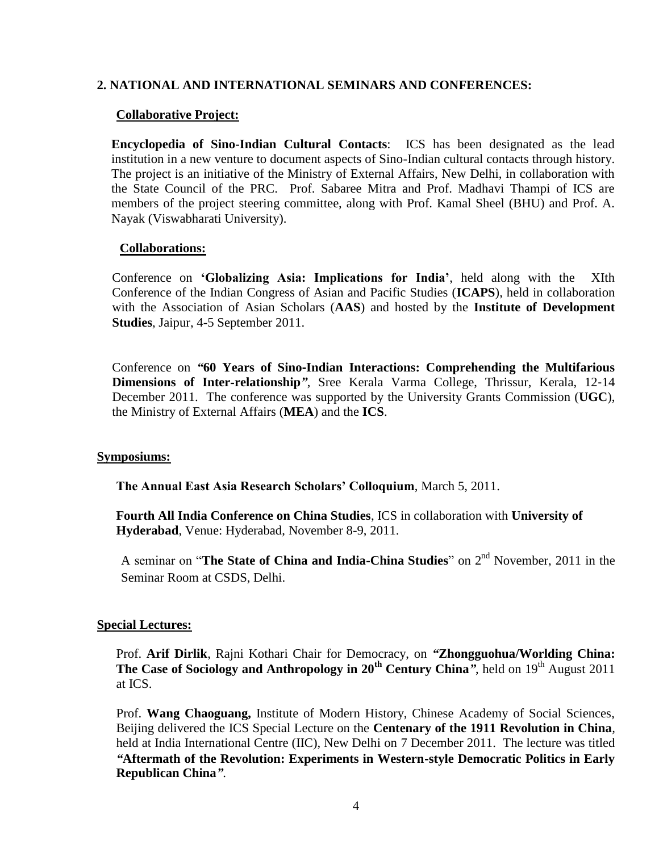## **2. NATIONAL AND INTERNATIONAL SEMINARS AND CONFERENCES:**

## **Collaborative Project:**

**Encyclopedia of Sino-Indian Cultural Contacts**: ICS has been designated as the lead institution in a new venture to document aspects of Sino-Indian cultural contacts through history. The project is an initiative of the Ministry of External Affairs, New Delhi, in collaboration with the State Council of the PRC. Prof. Sabaree Mitra and Prof. Madhavi Thampi of ICS are members of the project steering committee, along with Prof. Kamal Sheel (BHU) and Prof. A. Nayak (Viswabharati University).

## **Collaborations:**

Conference on **"Globalizing Asia: Implications for India"**, held along with the XIth Conference of the Indian Congress of Asian and Pacific Studies (**ICAPS**), held in collaboration with the Association of Asian Scholars (**AAS**) and hosted by the **Institute of Development Studies**, Jaipur, 4-5 September 2011.

Conference on *"***60 Years of Sino**‐**Indian Interactions: Comprehending the Multifarious Dimensions of Inter-relationship**<sup>7</sup>, Sree Kerala Varma College, Thrissur, Kerala, 12-14 December 2011. The conference was supported by the University Grants Commission (**UGC**), the Ministry of External Affairs (**MEA**) and the **ICS**.

## **Symposiums:**

**The Annual East Asia Research Scholars" Colloquium**, March 5, 2011.

**Fourth All India Conference on China Studies**, ICS in collaboration with **University of Hyderabad**, Venue: Hyderabad, November 8-9, 2011.

A seminar on "**The State of China and India-China Studies**" on 2nd November, 2011 in the Seminar Room at CSDS, Delhi.

## **Special Lectures:**

Prof. **Arif Dirlik**, Rajni Kothari Chair for Democracy, on *"***Zhongguohua/Worlding China: The Case of Sociology and Anthropology in 20th Century China***"*, held on 19th August 2011 at ICS.

Prof. **Wang Chaoguang,** Institute of Modern History, Chinese Academy of Social Sciences, Beijing delivered the ICS Special Lecture on the **Centenary of the 1911 Revolution in China***,* held at India International Centre (IIC), New Delhi on 7 December 2011. The lecture was titled *"***Aftermath of the Revolution: Experiments in Western**‐**style Democratic Politics in Early Republican China***"*.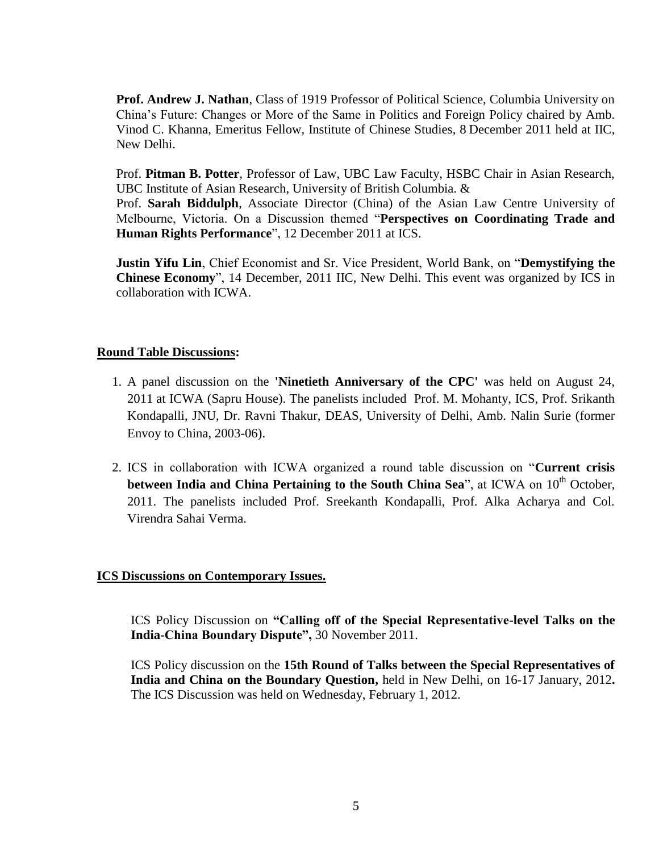**Prof. Andrew J. Nathan**, Class of 1919 Professor of Political Science, Columbia University on China"s Future: Changes or More of the Same in Politics and Foreign Policy chaired by Amb. Vinod C. Khanna, Emeritus Fellow, Institute of Chinese Studies, 8 December 2011 held at IIC, New Delhi.

Prof. **Pitman B. Potter**, Professor of Law, UBC Law Faculty, HSBC Chair in Asian Research, UBC Institute of Asian Research, University of British Columbia. &

Prof. **Sarah Biddulph**, Associate Director (China) of the Asian Law Centre University of Melbourne, Victoria. On a Discussion themed "**Perspectives on Coordinating Trade and Human Rights Performance**", 12 December 2011 at ICS.

**Justin Yifu Lin**, Chief Economist and Sr. Vice President, World Bank, on "**Demystifying the Chinese Economy**", 14 December, 2011 IIC, New Delhi. This event was organized by ICS in collaboration with ICWA.

## **Round Table Discussions:**

- 1. A panel discussion on the **'Ninetieth Anniversary of the CPC'** was held on August 24, 2011 at ICWA (Sapru House). The panelists included Prof. M. Mohanty, ICS, Prof. Srikanth Kondapalli, JNU, Dr. Ravni Thakur, DEAS, University of Delhi, Amb. Nalin Surie (former Envoy to China, 2003-06).
- 2. ICS in collaboration with ICWA organized a round table discussion on "**Current crisis between India and China Pertaining to the South China Sea**", at ICWA on 10<sup>th</sup> October, 2011. The panelists included Prof. Sreekanth Kondapalli, Prof. Alka Acharya and Col. Virendra Sahai Verma.

## **ICS Discussions on Contemporary Issues.**

ICS Policy Discussion on **"Calling off of the Special Representative-level Talks on the India-China Boundary Dispute",** 30 November 2011.

ICS Policy discussion on the **15th Round of Talks between the Special Representatives of India and China on the Boundary Question,** held in New Delhi, on 16-17 January, 2012**.**  The ICS Discussion was held on Wednesday, February 1, 2012.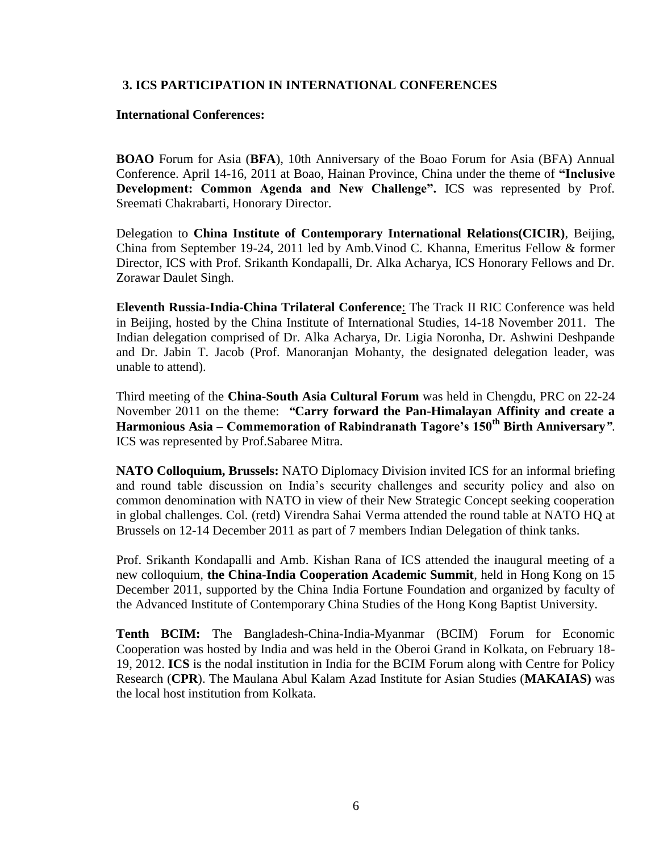## **3. ICS PARTICIPATION IN INTERNATIONAL CONFERENCES**

#### **International Conferences:**

**BOAO** Forum for Asia (**BFA**), 10th Anniversary of the Boao Forum for Asia (BFA) Annual Conference. April 14-16, 2011 at Boao, Hainan Province, China under the theme of **"Inclusive Development: Common Agenda and New Challenge".** ICS was represented by Prof. Sreemati Chakrabarti, Honorary Director.

Delegation to **China Institute of Contemporary International Relations(CICIR)**, Beijing, China from September 19-24, 2011 led by Amb.Vinod C. Khanna, Emeritus Fellow & former Director, ICS with Prof. Srikanth Kondapalli, Dr. Alka Acharya, ICS Honorary Fellows and Dr. Zorawar Daulet Singh.

**Eleventh Russia-India-China Trilateral Conference**: The Track II RIC Conference was held in Beijing, hosted by the China Institute of International Studies, 14-18 November 2011. The Indian delegation comprised of Dr. Alka Acharya, Dr. Ligia Noronha, Dr. Ashwini Deshpande and Dr. Jabin T. Jacob (Prof. Manoranjan Mohanty, the designated delegation leader, was unable to attend).

Third meeting of the **China-South Asia Cultural Forum** was held in Chengdu, PRC on 22-24 November 2011 on the theme: *"***Carry forward the Pan-Himalayan Affinity and create a Harmonious Asia – Commemoration of Rabindranath Tagore"s 150th Birth Anniversary***"*. ICS was represented by Prof.Sabaree Mitra.

**NATO Colloquium, Brussels:** NATO Diplomacy Division invited ICS for an informal briefing and round table discussion on India"s security challenges and security policy and also on common denomination with NATO in view of their New Strategic Concept seeking cooperation in global challenges. Col. (retd) Virendra Sahai Verma attended the round table at NATO HQ at Brussels on 12-14 December 2011 as part of 7 members Indian Delegation of think tanks.

Prof. Srikanth Kondapalli and Amb. Kishan Rana of ICS attended the inaugural meeting of a new colloquium, **the China-India Cooperation Academic Summit**, held in Hong Kong on 15 December 2011, supported by the China India Fortune Foundation and organized by faculty of the Advanced Institute of Contemporary China Studies of the Hong Kong Baptist University.

**Tenth BCIM:** The Bangladesh-China-India-Myanmar (BCIM) Forum for Economic Cooperation was hosted by India and was held in the Oberoi Grand in Kolkata, on February 18- 19, 2012. **ICS** is the nodal institution in India for the BCIM Forum along with Centre for Policy Research (**CPR**). The Maulana Abul Kalam Azad Institute for Asian Studies (**MAKAIAS)** was the local host institution from Kolkata.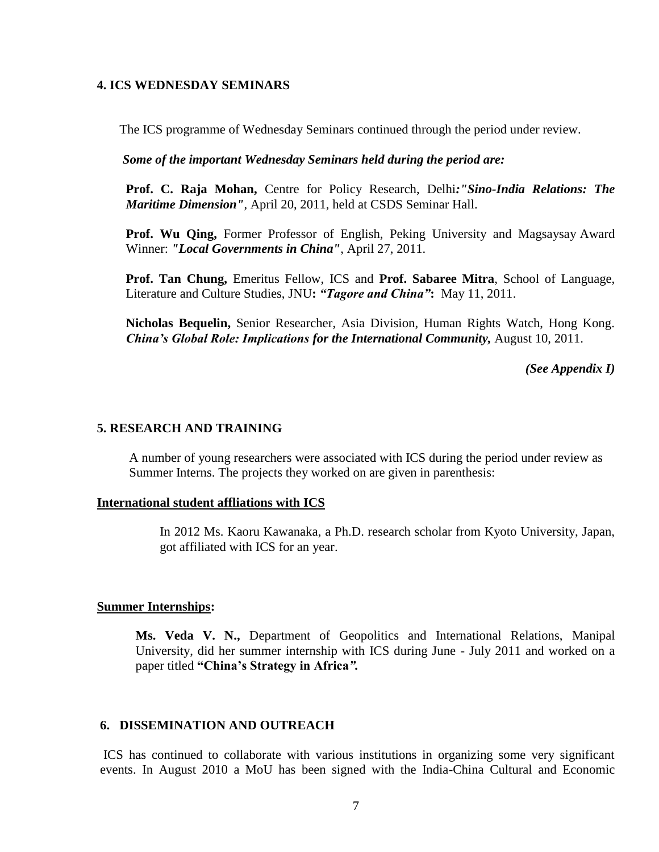#### **4. ICS WEDNESDAY SEMINARS**

The ICS programme of Wednesday Seminars continued through the period under review.

 *Some of the important Wednesday Seminars held during the period are:*

**Prof. C. Raja Mohan,** Centre for Policy Research, Delhi*:"Sino-India Relations: The Maritime Dimension"*, April 20, 2011, held at CSDS Seminar Hall.

**Prof. Wu Qing,** Former Professor of English, Peking University and Magsaysay Award Winner: *"Local Governments in China"*, April 27, 2011.

**Prof. Tan Chung,** Emeritus Fellow, ICS and **Prof. Sabaree Mitra**, School of Language, Literature and Culture Studies, JNU**:** *"Tagore and China"***:** May 11, 2011.

**Nicholas Bequelin,** Senior Researcher, Asia Division, Human Rights Watch, Hong Kong. *China's Global Role: Implications for the International Community, August 10, 2011.* 

*(See Appendix I)*

## **5. RESEARCH AND TRAINING**

 A number of young researchers were associated with ICS during the period under review as Summer Interns. The projects they worked on are given in parenthesis:

#### **International student affliations with ICS**

In 2012 Ms. Kaoru Kawanaka, a Ph.D. research scholar from Kyoto University, Japan, got affiliated with ICS for an year.

#### **Summer Internships:**

**Ms. Veda V. N.,** Department of Geopolitics and International Relations, Manipal University, did her summer internship with ICS during June - July 2011 and worked on a paper titled **"China"s Strategy in Africa***".*

#### **6. DISSEMINATION AND OUTREACH**

ICS has continued to collaborate with various institutions in organizing some very significant events. In August 2010 a MoU has been signed with the India-China Cultural and Economic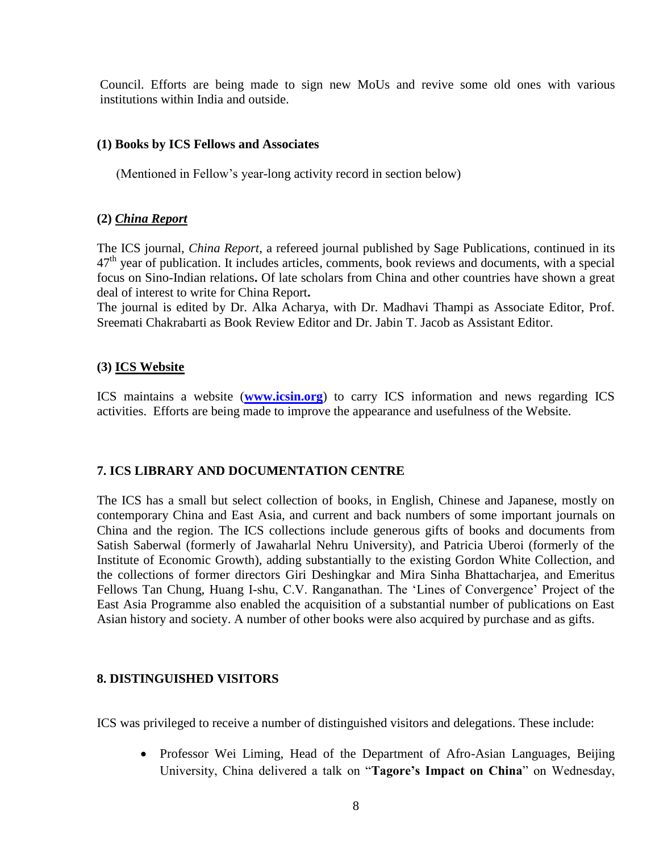Council. Efforts are being made to sign new MoUs and revive some old ones with various institutions within India and outside.

## **(1) Books by ICS Fellows and Associates**

(Mentioned in Fellow"s year-long activity record in section below)

# **(2)** *China Report*

The ICS journal, *China Report*, a refereed journal published by Sage Publications, continued in its 47<sup>th</sup> year of publication. It includes articles, comments, book reviews and documents, with a special focus on Sino-Indian relations**.** Of late scholars from China and other countries have shown a great deal of interest to write for China Report**.**

The journal is edited by Dr. Alka Acharya, with Dr. Madhavi Thampi as Associate Editor, Prof. Sreemati Chakrabarti as Book Review Editor and Dr. Jabin T. Jacob as Assistant Editor.

## **(3) ICS Website**

ICS maintains a website (**[www.icsin.org](http://www.icsin.org/)**) to carry ICS information and news regarding ICS activities. Efforts are being made to improve the appearance and usefulness of the Website.

## **7. ICS LIBRARY AND DOCUMENTATION CENTRE**

The ICS has a small but select collection of books, in English, Chinese and Japanese, mostly on contemporary China and East Asia, and current and back numbers of some important journals on China and the region. The ICS collections include generous gifts of books and documents from Satish Saberwal (formerly of Jawaharlal Nehru University), and Patricia Uberoi (formerly of the Institute of Economic Growth), adding substantially to the existing Gordon White Collection, and the collections of former directors Giri Deshingkar and Mira Sinha Bhattacharjea, and Emeritus Fellows Tan Chung, Huang I-shu, C.V. Ranganathan. The 'Lines of Convergence' Project of the East Asia Programme also enabled the acquisition of a substantial number of publications on East Asian history and society. A number of other books were also acquired by purchase and as gifts.

## **8. DISTINGUISHED VISITORS**

ICS was privileged to receive a number of distinguished visitors and delegations. These include:

• Professor Wei Liming, Head of the Department of Afro-Asian Languages, Beijing University, China delivered a talk on "**Tagore"s Impact on China**" on Wednesday,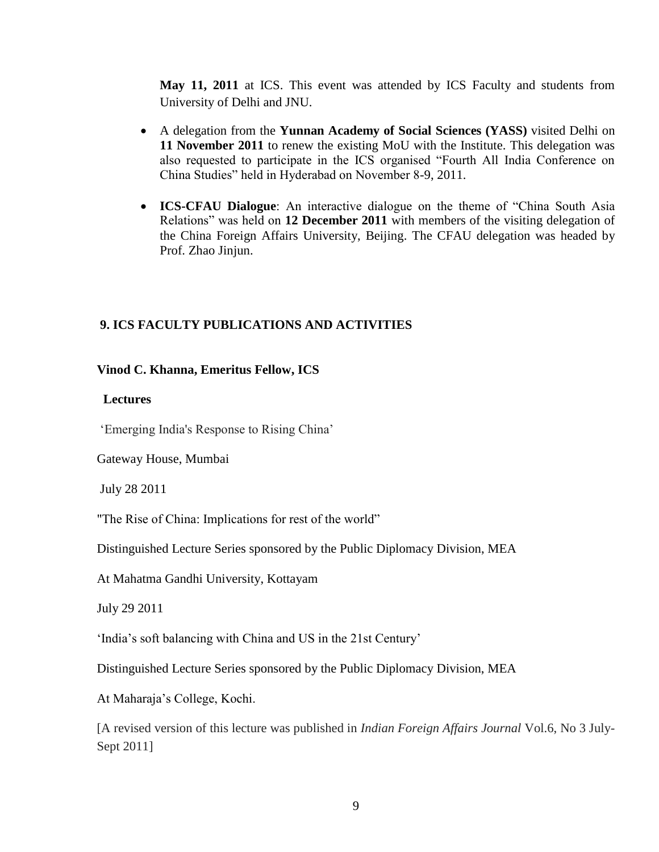**May 11, 2011** at ICS. This event was attended by ICS Faculty and students from University of Delhi and JNU.

- A delegation from the **Yunnan Academy of Social Sciences (YASS)** visited Delhi on **11 November 2011** to renew the existing MoU with the Institute. This delegation was also requested to participate in the ICS organised "Fourth All India Conference on China Studies" held in Hyderabad on November 8-9, 2011.
- **ICS-CFAU Dialogue**: An interactive dialogue on the theme of "China South Asia Relations" was held on **12 December 2011** with members of the visiting delegation of the China Foreign Affairs University, Beijing. The CFAU delegation was headed by Prof. Zhao Jinjun.

# **9. ICS FACULTY PUBLICATIONS AND ACTIVITIES**

# **Vinod C. Khanna, Emeritus Fellow, ICS**

## **Lectures**

"Emerging India's Response to Rising China"

Gateway House, Mumbai

July 28 2011

"The Rise of China: Implications for rest of the world"

Distinguished Lecture Series sponsored by the Public Diplomacy Division, MEA

At Mahatma Gandhi University, Kottayam

July 29 2011

'India's soft balancing with China and US in the 21st Century'

Distinguished Lecture Series sponsored by the Public Diplomacy Division, MEA

At Maharaja"s College, Kochi.

[A revised version of this lecture was published in *Indian Foreign Affairs Journal* Vol.6, No 3 July-Sept 2011]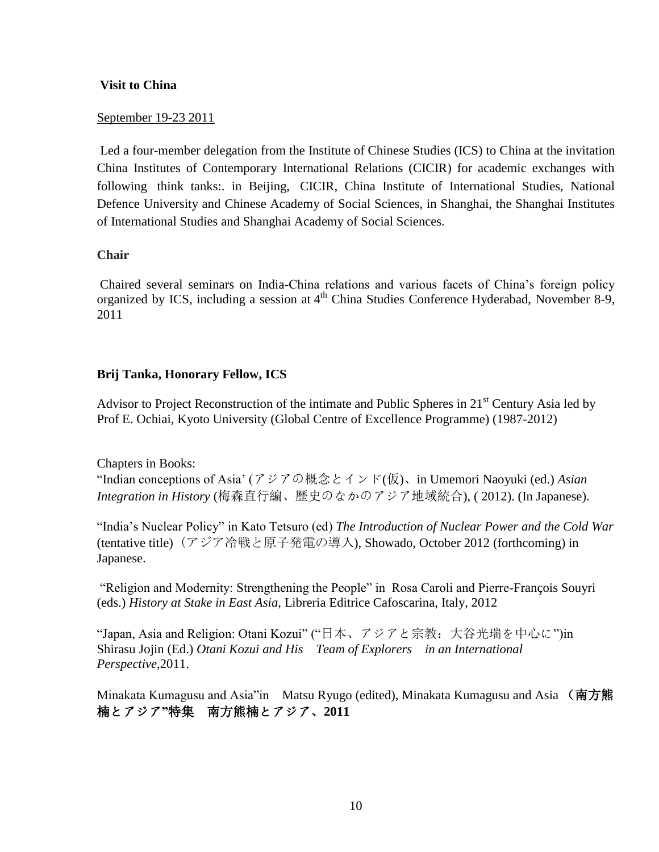## **Visit to China**

## September 19-23 2011

Led a four-member delegation from the Institute of Chinese Studies (ICS) to China at the invitation China Institutes of Contemporary International Relations (CICIR) for academic exchanges with following think tanks:. in Beijing, CICIR, China Institute of International Studies, National Defence University and Chinese Academy of Social Sciences, in Shanghai, the Shanghai Institutes of International Studies and Shanghai Academy of Social Sciences.

## **Chair**

Chaired several seminars on India-China relations and various facets of China"s foreign policy organized by ICS, including a session at 4<sup>th</sup> China Studies Conference Hyderabad, November 8-9, 2011

# **Brij Tanka, Honorary Fellow, ICS**

Advisor to Project Reconstruction of the intimate and Public Spheres in 21<sup>st</sup> Century Asia led by Prof E. Ochiai, Kyoto University (Global Centre of Excellence Programme) (1987-2012)

Chapters in Books:

"Indian conceptions of Asia" (アジアの概念とインド(仮)、in Umemori Naoyuki (ed.) *Asian Integration in History* (梅森直行編、歴史のなかのアジア地域統合), ( 2012). (In Japanese).

"India"s Nuclear Policy" in Kato Tetsuro (ed) *The Introduction of Nuclear Power and the Cold War* (tentative title)(アジア冷戦と原子発電の導入), Showado, October 2012 (forthcoming) in Japanese.

"Religion and Modernity: Strengthening the People" in Rosa Caroli and Pierre-François Souyri (eds.) *History at Stake in East Asia,* Libreria Editrice Cafoscarina, Italy, 2012

"Japan, Asia and Religion: Otani Kozui" ("日本、アジアと宗教:大谷光瑞を中心に")in Shirasu Jojin (Ed.) *Otani Kozui and His Team of Explorers in an International Perspective*,2011.

Minakata Kumagusu and Asia"in Matsu Ryugo (edited), Minakata Kumagusu and Asia (南方熊 楠とアジア**"**特集 南方熊楠とアジア、**2011**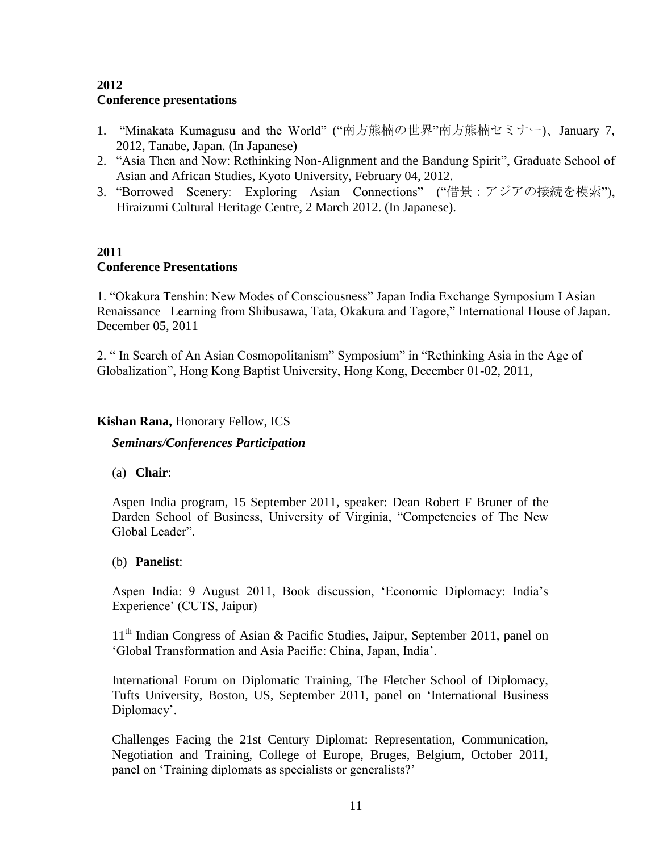# **2012 Conference presentations**

- 1. "Minakata Kumagusu and the World" ("南方熊楠の世界"南方熊楠セミナー)、January 7, 2012, Tanabe, Japan. (In Japanese)
- 2. "Asia Then and Now: Rethinking Non-Alignment and the Bandung Spirit", Graduate School of Asian and African Studies, Kyoto University, February 04, 2012.
- 3. "Borrowed Scenery: Exploring Asian Connections" ("借景:アジアの接続を模索"), Hiraizumi Cultural Heritage Centre, 2 March 2012. (In Japanese).

# **2011 Conference Presentations**

1. "Okakura Tenshin: New Modes of Consciousness" Japan India Exchange Symposium I Asian Renaissance –Learning from Shibusawa, Tata, Okakura and Tagore," International House of Japan. December 05, 2011

2. " In Search of An Asian Cosmopolitanism" Symposium" in "Rethinking Asia in the Age of Globalization", Hong Kong Baptist University, Hong Kong, December 01-02, 2011,

# **Kishan Rana,** Honorary Fellow, ICS

# *Seminars/Conferences Participation*

# (a) **Chair**:

Aspen India program, 15 September 2011, speaker: Dean Robert F Bruner of the Darden School of Business, University of Virginia, "Competencies of The New Global Leader".

# (b) **Panelist**:

Aspen India: 9 August 2011, Book discussion, "Economic Diplomacy: India"s Experience" (CUTS, Jaipur)

 $11<sup>th</sup>$  Indian Congress of Asian & Pacific Studies, Jaipur, September 2011, panel on "Global Transformation and Asia Pacific: China, Japan, India".

International Forum on Diplomatic Training, The Fletcher School of Diplomacy, Tufts University, Boston, US, September 2011, panel on "International Business Diplomacy'.

Challenges Facing the 21st Century Diplomat: Representation, Communication, Negotiation and Training, College of Europe, Bruges, Belgium, October 2011, panel on "Training diplomats as specialists or generalists?"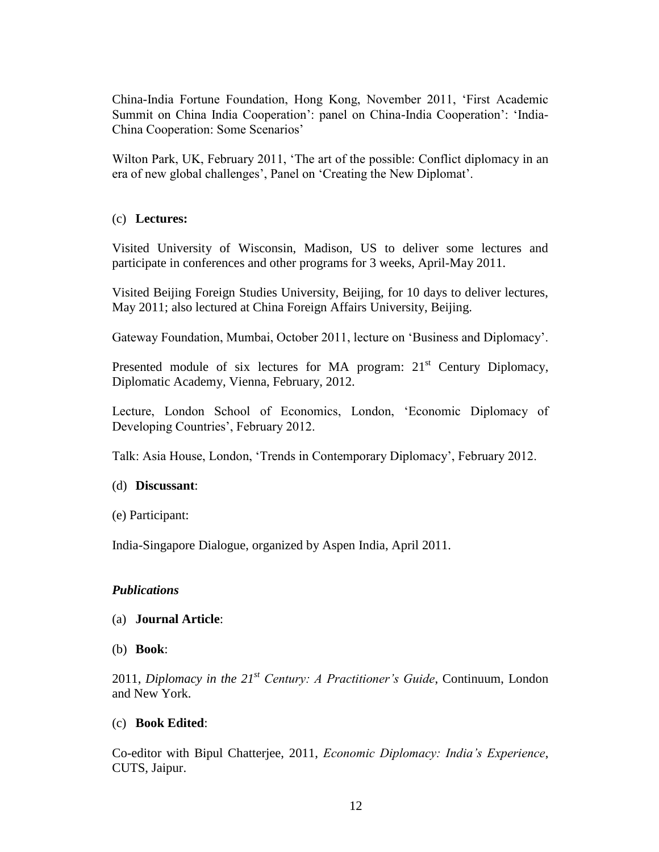China-India Fortune Foundation, Hong Kong, November 2011, "First Academic Summit on China India Cooperation': panel on China-India Cooperation': 'India-China Cooperation: Some Scenarios"

Wilton Park, UK, February 2011, "The art of the possible: Conflict diplomacy in an era of new global challenges', Panel on 'Creating the New Diplomat'.

## (c) **Lectures:**

Visited University of Wisconsin, Madison, US to deliver some lectures and participate in conferences and other programs for 3 weeks, April-May 2011.

Visited Beijing Foreign Studies University, Beijing, for 10 days to deliver lectures, May 2011; also lectured at China Foreign Affairs University, Beijing.

Gateway Foundation, Mumbai, October 2011, lecture on "Business and Diplomacy".

Presented module of six lectures for MA program:  $21<sup>st</sup>$  Century Diplomacy, Diplomatic Academy, Vienna, February, 2012.

Lecture, London School of Economics, London, "Economic Diplomacy of Developing Countries', February 2012.

Talk: Asia House, London, "Trends in Contemporary Diplomacy", February 2012.

## (d) **Discussant**:

(e) Participant:

India-Singapore Dialogue, organized by Aspen India, April 2011.

## *Publications*

- (a) **Journal Article**:
- (b) **Book**:

2011, *Diplomacy in the 21st Century: A Practitioner's Guide*, Continuum, London and New York.

## (c) **Book Edited**:

Co-editor with Bipul Chatterjee, 2011, *Economic Diplomacy: India's Experience*, CUTS, Jaipur.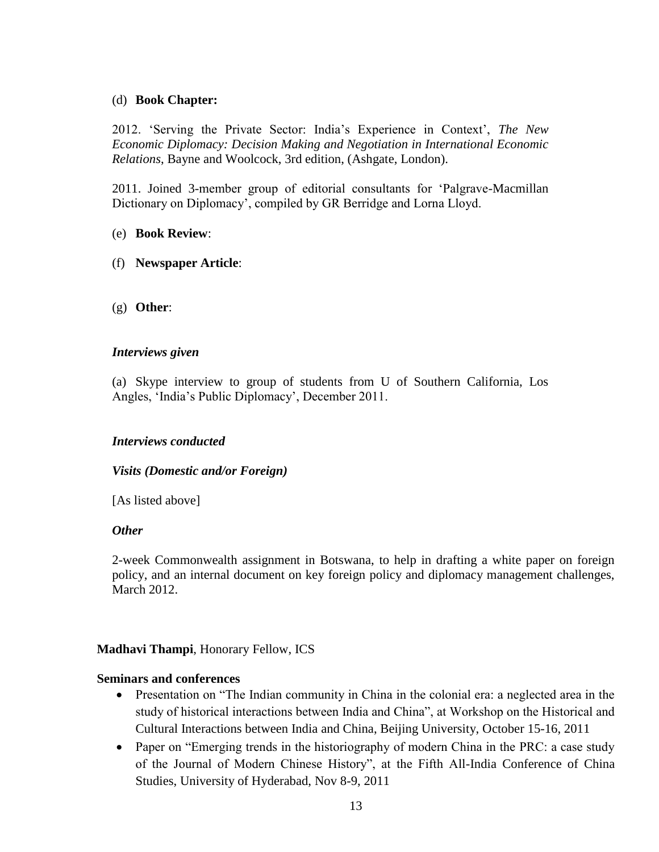## (d) **Book Chapter:**

2012. "Serving the Private Sector: India"s Experience in Context", *The New Economic Diplomacy: Decision Making and Negotiation in International Economic Relations*, Bayne and Woolcock, 3rd edition, (Ashgate, London).

2011. Joined 3-member group of editorial consultants for "Palgrave-Macmillan Dictionary on Diplomacy", compiled by GR Berridge and Lorna Lloyd.

## (e) **Book Review**:

- (f) **Newspaper Article**:
- (g) **Other**:

## *Interviews given*

(a) Skype interview to group of students from U of Southern California, Los Angles, "India"s Public Diplomacy", December 2011.

# *Interviews conducted*

## *Visits (Domestic and/or Foreign)*

[As listed above]

## *Other*

2-week Commonwealth assignment in Botswana, to help in drafting a white paper on foreign policy, and an internal document on key foreign policy and diplomacy management challenges, March 2012.

## **Madhavi Thampi**, Honorary Fellow, ICS

## **Seminars and conferences**

- Presentation on "The Indian community in China in the colonial era: a neglected area in the study of historical interactions between India and China", at Workshop on the Historical and Cultural Interactions between India and China, Beijing University, October 15-16, 2011
- Paper on "Emerging trends in the historiography of modern China in the PRC: a case study of the Journal of Modern Chinese History", at the Fifth All-India Conference of China Studies, University of Hyderabad, Nov 8-9, 2011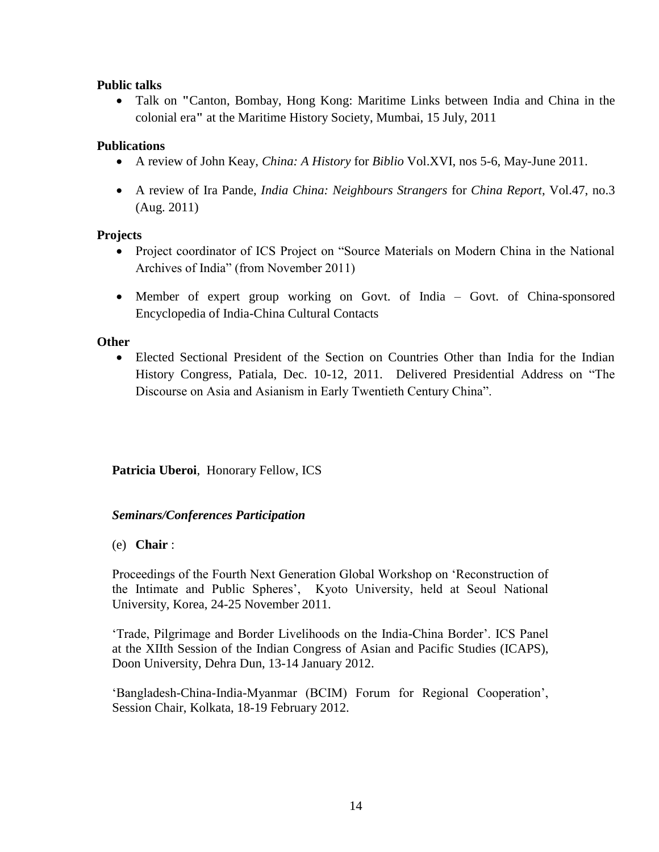## **Public talks**

 Talk on **"**Canton, Bombay, Hong Kong: Maritime Links between India and China in the colonial era**"** at the Maritime History Society, Mumbai, 15 July, 2011

## **Publications**

- A review of John Keay, *China: A History* for *Biblio* Vol.XVI, nos 5-6, May-June 2011.
- A review of Ira Pande, *India China: Neighbours Strangers* for *China Report*, Vol.47, no.3 (Aug. 2011)

## **Projects**

- Project coordinator of ICS Project on "Source Materials on Modern China in the National Archives of India" (from November 2011)
- Member of expert group working on Govt. of India Govt. of China-sponsored Encyclopedia of India-China Cultural Contacts

## **Other**

 Elected Sectional President of the Section on Countries Other than India for the Indian History Congress, Patiala, Dec. 10-12, 2011. Delivered Presidential Address on "The Discourse on Asia and Asianism in Early Twentieth Century China".

# **Patricia Uberoi**, Honorary Fellow, ICS

## *Seminars/Conferences Participation*

## (e) **Chair** :

Proceedings of the Fourth Next Generation Global Workshop on "Reconstruction of the Intimate and Public Spheres', Kyoto University, held at Seoul National University, Korea, 24-25 November 2011.

"Trade, Pilgrimage and Border Livelihoods on the India-China Border". ICS Panel at the XIIth Session of the Indian Congress of Asian and Pacific Studies (ICAPS), Doon University, Dehra Dun, 13-14 January 2012.

"Bangladesh-China-India-Myanmar (BCIM) Forum for Regional Cooperation", Session Chair, Kolkata, 18-19 February 2012.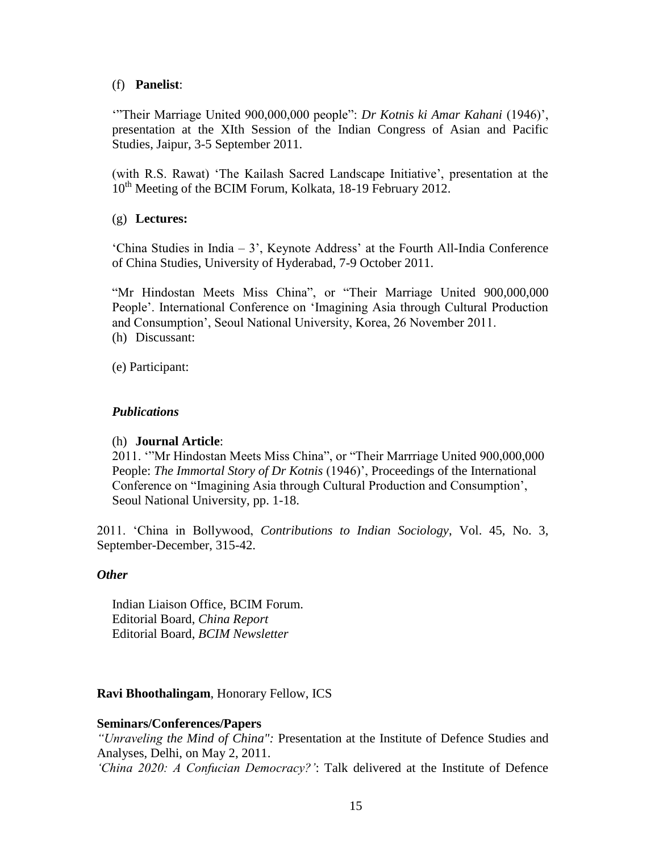## (f) **Panelist**:

""Their Marriage United 900,000,000 people": *Dr Kotnis ki Amar Kahani* (1946)", presentation at the XIth Session of the Indian Congress of Asian and Pacific Studies, Jaipur, 3-5 September 2011.

(with R.S. Rawat) "The Kailash Sacred Landscape Initiative", presentation at the 10<sup>th</sup> Meeting of the BCIM Forum, Kolkata, 18-19 February 2012.

## (g) **Lectures:**

'China Studies in India  $-3$ ', Keynote Address' at the Fourth All-India Conference of China Studies, University of Hyderabad, 7-9 October 2011.

"Mr Hindostan Meets Miss China", or "Their Marriage United 900,000,000 People". International Conference on "Imagining Asia through Cultural Production and Consumption", Seoul National University, Korea, 26 November 2011. (h) Discussant:

(e) Participant:

## *Publications*

## (h) **Journal Article**:

2011. ""Mr Hindostan Meets Miss China", or "Their Marrriage United 900,000,000 People: *The Immortal Story of Dr Kotnis* (1946)', Proceedings of the International Conference on "Imagining Asia through Cultural Production and Consumption", Seoul National University, pp. 1-18.

2011. "China in Bollywood, *Contributions to Indian Sociology*, Vol. 45, No. 3, September-December, 315-42.

## *Other*

Indian Liaison Office, BCIM Forum. Editorial Board, *China Report* Editorial Board, *BCIM Newsletter*

## **Ravi Bhoothalingam**, Honorary Fellow, ICS

## **Seminars/Conferences/Papers**

*"Unraveling the Mind of China":* Presentation at the Institute of Defence Studies and Analyses, Delhi, on May 2, 2011. *'China 2020: A Confucian Democracy?'*: Talk delivered at the Institute of Defence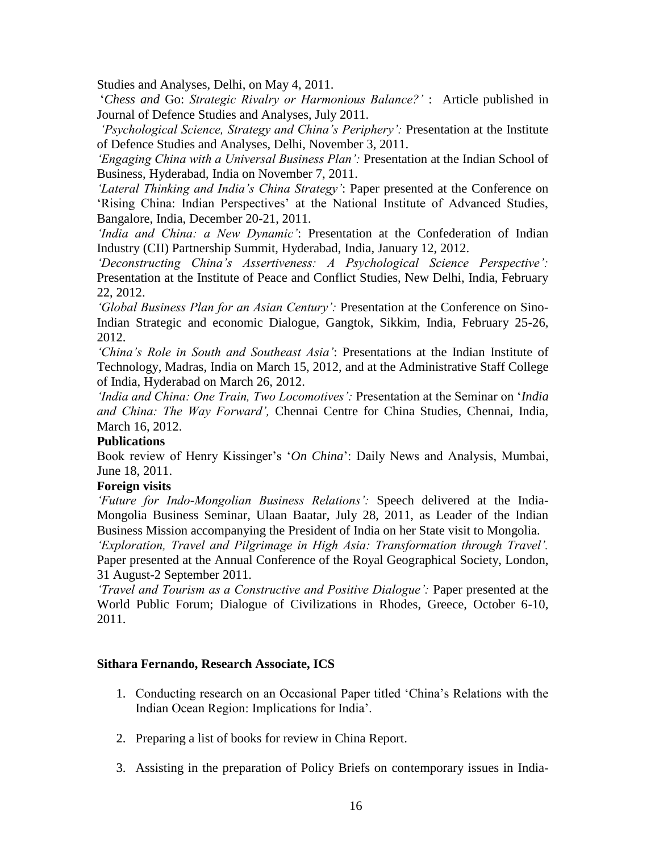Studies and Analyses, Delhi, on May 4, 2011.

"*Chess and* Go: *Strategic Rivalry or Harmonious Balance?'* : Article published in Journal of Defence Studies and Analyses, July 2011.

*'Psychological Science, Strategy and China's Periphery':* Presentation at the Institute of Defence Studies and Analyses, Delhi, November 3, 2011.

*'Engaging China with a Universal Business Plan':* Presentation at the Indian School of Business, Hyderabad, India on November 7, 2011.

*'Lateral Thinking and India's China Strategy'*: Paper presented at the Conference on 'Rising China: Indian Perspectives' at the National Institute of Advanced Studies, Bangalore, India, December 20-21, 2011.

*'India and China: a New Dynamic'*: Presentation at the Confederation of Indian Industry (CII) Partnership Summit, Hyderabad, India, January 12, 2012.

*'Deconstructing China's Assertiveness: A Psychological Science Perspective':*  Presentation at the Institute of Peace and Conflict Studies, New Delhi, India, February 22, 2012.

*'Global Business Plan for an Asian Century':* Presentation at the Conference on Sino-Indian Strategic and economic Dialogue, Gangtok, Sikkim, India, February 25-26, 2012.

*'China's Role in South and Southeast Asia'*: Presentations at the Indian Institute of Technology, Madras, India on March 15, 2012, and at the Administrative Staff College of India, Hyderabad on March 26, 2012.

*'India and China: One Train, Two Locomotives':* Presentation at the Seminar on "*India and China: The Way Forward',* Chennai Centre for China Studies, Chennai, India, March 16, 2012.

## **Publications**

Book review of Henry Kissinger's '*On China*': Daily News and Analysis, Mumbai, June 18, 2011.

# **Foreign visits**

*'Future for Indo-Mongolian Business Relations':* Speech delivered at the India-Mongolia Business Seminar, Ulaan Baatar, July 28, 2011, as Leader of the Indian Business Mission accompanying the President of India on her State visit to Mongolia. *'Exploration, Travel and Pilgrimage in High Asia: Transformation through Travel'.* 

Paper presented at the Annual Conference of the Royal Geographical Society, London, 31 August-2 September 2011.

*'Travel and Tourism as a Constructive and Positive Dialogue':* Paper presented at the World Public Forum; Dialogue of Civilizations in Rhodes, Greece, October 6-10, 2011.

# **Sithara Fernando, Research Associate, ICS**

- 1. Conducting research on an Occasional Paper titled "China"s Relations with the Indian Ocean Region: Implications for India".
- 2. Preparing a list of books for review in China Report.
- 3. Assisting in the preparation of Policy Briefs on contemporary issues in India-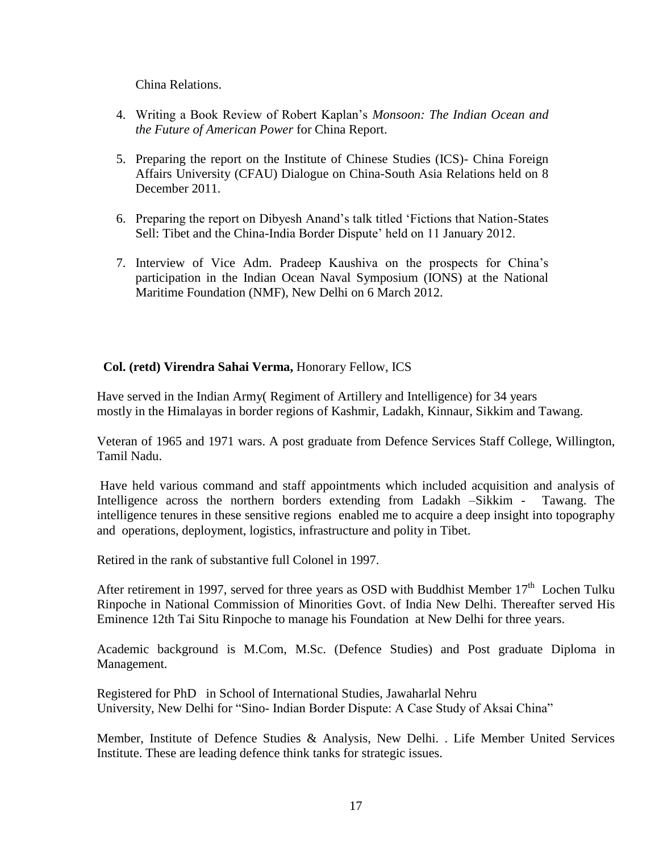China Relations.

- 4. Writing a Book Review of Robert Kaplan"s *Monsoon: The Indian Ocean and the Future of American Power* for China Report.
- 5. Preparing the report on the Institute of Chinese Studies (ICS)- China Foreign Affairs University (CFAU) Dialogue on China-South Asia Relations held on 8 December 2011.
- 6. Preparing the report on Dibyesh Anand"s talk titled "Fictions that Nation-States Sell: Tibet and the China-India Border Dispute' held on 11 January 2012.
- 7. Interview of Vice Adm. Pradeep Kaushiva on the prospects for China"s participation in the Indian Ocean Naval Symposium (IONS) at the National Maritime Foundation (NMF), New Delhi on 6 March 2012.

# **Col. (retd) Virendra Sahai Verma,** Honorary Fellow, ICS

Have served in the Indian Army( Regiment of Artillery and Intelligence) for 34 years mostly in the Himalayas in border regions of Kashmir, Ladakh, Kinnaur, Sikkim and Tawang.

Veteran of 1965 and 1971 wars. A post graduate from Defence Services Staff College, Willington, Tamil Nadu.

Have held various command and staff appointments which included acquisition and analysis of Intelligence across the northern borders extending from Ladakh –Sikkim - Tawang. The intelligence tenures in these sensitive regions enabled me to acquire a deep insight into topography and operations, deployment, logistics, infrastructure and polity in Tibet.

Retired in the rank of substantive full Colonel in 1997.

After retirement in 1997, served for three years as OSD with Buddhist Member  $17<sup>th</sup>$  Lochen Tulku Rinpoche in National Commission of Minorities Govt. of India New Delhi. Thereafter served His Eminence 12th Tai Situ Rinpoche to manage his Foundation at New Delhi for three years.

Academic background is M.Com, M.Sc. (Defence Studies) and Post graduate Diploma in Management.

Registered for PhD in School of International Studies, Jawaharlal Nehru University, New Delhi for "Sino- Indian Border Dispute: A Case Study of Aksai China"

Member, Institute of Defence Studies & Analysis, New Delhi. . Life Member United Services Institute. These are leading defence think tanks for strategic issues.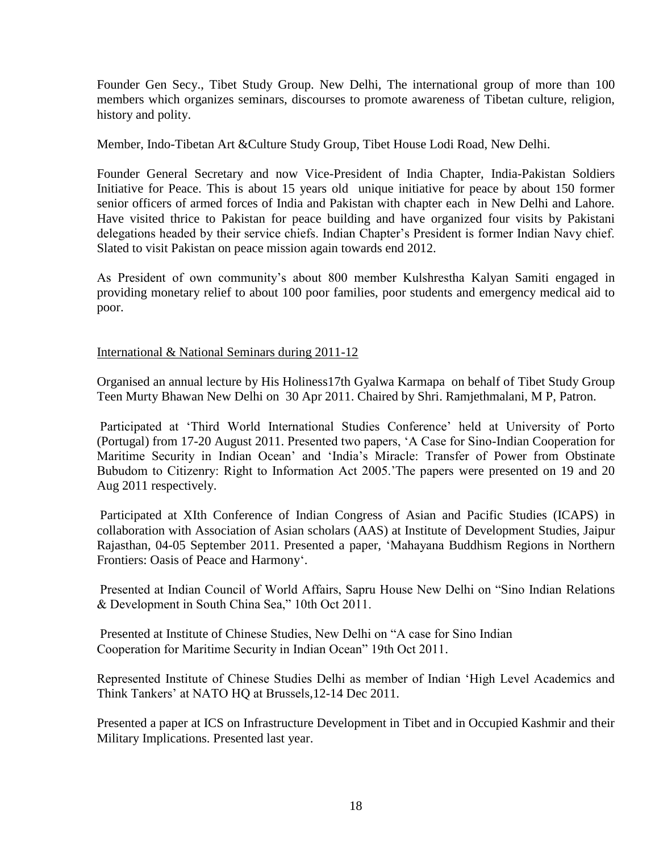Founder Gen Secy., Tibet Study Group. New Delhi, The international group of more than 100 members which organizes seminars, discourses to promote awareness of Tibetan culture, religion, history and polity.

Member, Indo-Tibetan Art &Culture Study Group, Tibet House Lodi Road, New Delhi.

Founder General Secretary and now Vice-President of India Chapter, India-Pakistan Soldiers Initiative for Peace. This is about 15 years old unique initiative for peace by about 150 former senior officers of armed forces of India and Pakistan with chapter each in New Delhi and Lahore. Have visited thrice to Pakistan for peace building and have organized four visits by Pakistani delegations headed by their service chiefs. Indian Chapter"s President is former Indian Navy chief. Slated to visit Pakistan on peace mission again towards end 2012.

As President of own community"s about 800 member Kulshrestha Kalyan Samiti engaged in providing monetary relief to about 100 poor families, poor students and emergency medical aid to poor.

## International & National Seminars during 2011-12

Organised an annual lecture by His Holiness17th Gyalwa Karmapa on behalf of Tibet Study Group Teen Murty Bhawan New Delhi on 30 Apr 2011. Chaired by Shri. Ramjethmalani, M P, Patron.

Participated at "Third World International Studies Conference" held at University of Porto (Portugal) from 17-20 August 2011. Presented two papers, "A Case for Sino-Indian Cooperation for Maritime Security in Indian Ocean" and "India"s Miracle: Transfer of Power from Obstinate Bubudom to Citizenry: Right to Information Act 2005."The papers were presented on 19 and 20 Aug 2011 respectively.

Participated at XIth Conference of Indian Congress of Asian and Pacific Studies (ICAPS) in collaboration with Association of Asian scholars (AAS) at Institute of Development Studies, Jaipur Rajasthan, 04-05 September 2011. Presented a paper, "Mahayana Buddhism Regions in Northern Frontiers: Oasis of Peace and Harmony'.

Presented at Indian Council of World Affairs, Sapru House New Delhi on "Sino Indian Relations & Development in South China Sea," 10th Oct 2011.

Presented at Institute of Chinese Studies, New Delhi on "A case for Sino Indian Cooperation for Maritime Security in Indian Ocean" 19th Oct 2011.

Represented Institute of Chinese Studies Delhi as member of Indian "High Level Academics and Think Tankers' at NATO HQ at Brussels, 12-14 Dec 2011.

Presented a paper at ICS on Infrastructure Development in Tibet and in Occupied Kashmir and their Military Implications. Presented last year.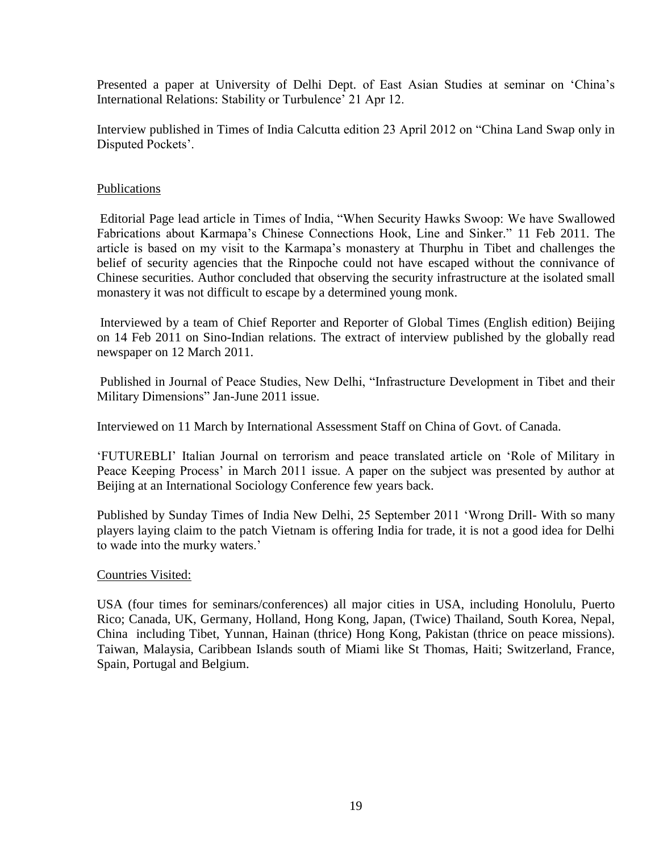Presented a paper at University of Delhi Dept. of East Asian Studies at seminar on "China"s International Relations: Stability or Turbulence" 21 Apr 12.

Interview published in Times of India Calcutta edition 23 April 2012 on "China Land Swap only in Disputed Pockets'.

## Publications

Editorial Page lead article in Times of India, "When Security Hawks Swoop: We have Swallowed Fabrications about Karmapa"s Chinese Connections Hook, Line and Sinker." 11 Feb 2011. The article is based on my visit to the Karmapa"s monastery at Thurphu in Tibet and challenges the belief of security agencies that the Rinpoche could not have escaped without the connivance of Chinese securities. Author concluded that observing the security infrastructure at the isolated small monastery it was not difficult to escape by a determined young monk.

Interviewed by a team of Chief Reporter and Reporter of Global Times (English edition) Beijing on 14 Feb 2011 on Sino-Indian relations. The extract of interview published by the globally read newspaper on 12 March 2011.

Published in Journal of Peace Studies, New Delhi, "Infrastructure Development in Tibet and their Military Dimensions" Jan-June 2011 issue.

Interviewed on 11 March by International Assessment Staff on China of Govt. of Canada.

"FUTUREBLI" Italian Journal on terrorism and peace translated article on "Role of Military in Peace Keeping Process' in March 2011 issue. A paper on the subject was presented by author at Beijing at an International Sociology Conference few years back.

Published by Sunday Times of India New Delhi, 25 September 2011 "Wrong Drill- With so many players laying claim to the patch Vietnam is offering India for trade, it is not a good idea for Delhi to wade into the murky waters."

## Countries Visited:

USA (four times for seminars/conferences) all major cities in USA, including Honolulu, Puerto Rico; Canada, UK, Germany, Holland, Hong Kong, Japan, (Twice) Thailand, South Korea, Nepal, China including Tibet, Yunnan, Hainan (thrice) Hong Kong, Pakistan (thrice on peace missions). Taiwan, Malaysia, Caribbean Islands south of Miami like St Thomas, Haiti; Switzerland, France, Spain, Portugal and Belgium.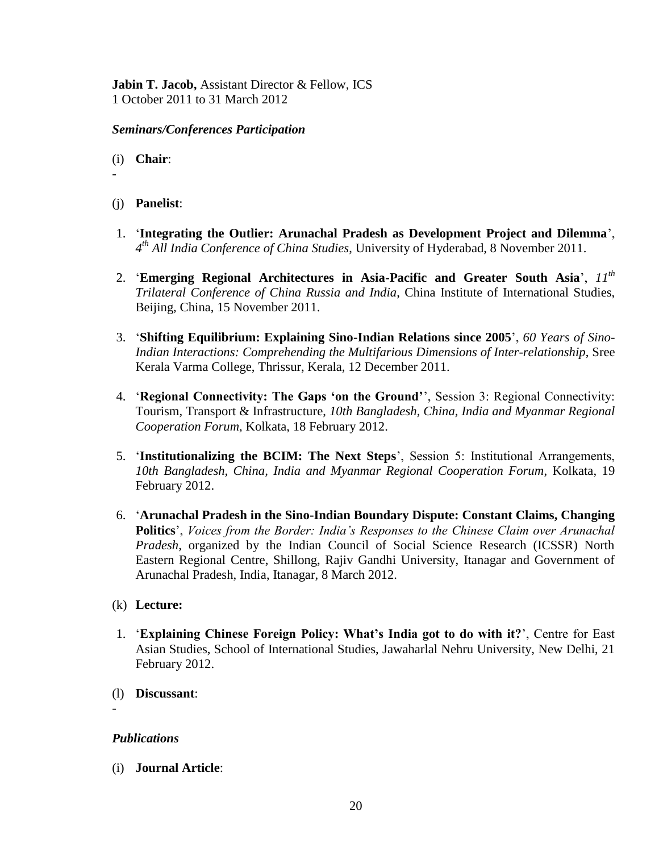**Jabin T. Jacob,** Assistant Director & Fellow, ICS 1 October 2011 to 31 March 2012

# *Seminars/Conferences Participation*

(i) **Chair**:

- -
- (j) **Panelist**:
- 1. "**Integrating the Outlier: Arunachal Pradesh as Development Project and Dilemma**", *4 th All India Conference of China Studies*, University of Hyderabad, 8 November 2011.
- 2. "**Emerging Regional Architectures in Asia-Pacific and Greater South Asia**", *11th Trilateral Conference of China Russia and India*, China Institute of International Studies, Beijing, China, 15 November 2011.
- 3. "**Shifting Equilibrium: Explaining Sino-Indian Relations since 2005**", *60 Years of Sino-Indian Interactions: Comprehending the Multifarious Dimensions of Inter-relationship*, Sree Kerala Varma College, Thrissur, Kerala, 12 December 2011.
- 4. "**Regional Connectivity: The Gaps "on the Ground"**", Session 3: Regional Connectivity: Tourism, Transport & Infrastructure, *10th Bangladesh, China, India and Myanmar Regional Cooperation Forum*, Kolkata, 18 February 2012.
- 5. "**Institutionalizing the BCIM: The Next Steps**", Session 5: Institutional Arrangements, *10th Bangladesh, China, India and Myanmar Regional Cooperation Forum*, Kolkata, 19 February 2012.
- 6. "**Arunachal Pradesh in the Sino-Indian Boundary Dispute: Constant Claims, Changing Politics**", *Voices from the Border: India's Responses to the Chinese Claim over Arunachal Pradesh*, organized by the Indian Council of Social Science Research (ICSSR) North Eastern Regional Centre, Shillong, Rajiv Gandhi University, Itanagar and Government of Arunachal Pradesh, India, Itanagar, 8 March 2012.

# (k) **Lecture:**

- 1. "**Explaining Chinese Foreign Policy: What"s India got to do with it?**", Centre for East Asian Studies, School of International Studies, Jawaharlal Nehru University, New Delhi, 21 February 2012.
- (l) **Discussant**:

# *Publications*

-

(i) **Journal Article**: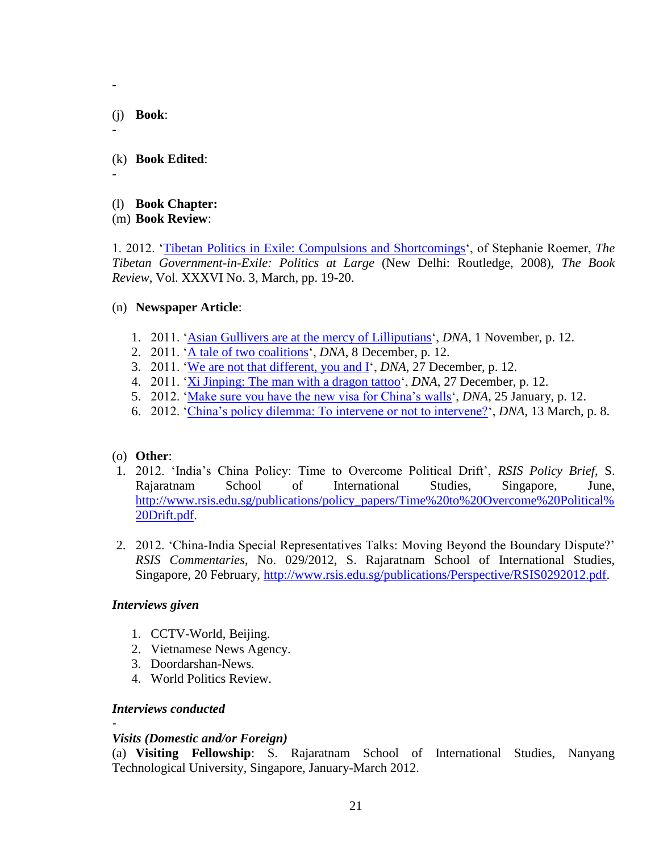(j) **Book**:

(k) **Book Edited**:

-

-

-

## (l) **Book Chapter:**

## (m) **Book Review**:

1. 2012. ["Tibetan Politics in Exile: Compulsions and Shortcomings"](http://www.thebookreviewindia.org/articles.php?art=archives-784/2012/march/3), of Stephanie Roemer, *The Tibetan Government-in-Exile: Politics at Large* (New Delhi: Routledge, 2008), *The Book Review*, Vol. XXXVI No. 3, March, pp. 19-20.

## (n) **Newspaper Article**:

- 1. 2011. ["Asian Gullivers are at the mercy of Lilliputians"](http://www.dnaindia.com/analysis/column_asian-gullivers-are-at-the-mercy-of-lilliputians_1605871), *DNA*, 1 November, p. 12.
- 2. 2011. ["A tale of two coalitions"](http://www.dnaindia.com/analysis/column_jabin-t-jacob-a-tale-of-two-coalitions_1622819), *DNA*, 8 December, p. 12.
- 3. 2011. ["We are not that different, you and I"](http://www.dnaindia.com/analysis/comment_we-are-not-that-different-you-and-i_1630363), *DNA*, 27 December, p. 12.
- 4. 2011. ["Xi Jinping: The man with a dragon tattoo"](http://www.dnaindia.com/analysis/column_the-man-with-a-dragon-tattoo_1630375), *DNA*, 27 December, p. 12.
- 5. 2012. ["Make sure you have the new visa for China"s walls"](http://www.dnaindia.com/analysis/column_make-sure-you-have-the-new-visa-for-chinas-walls_1641801), *DNA*, 25 January, p. 12.
- 6. 2012. ["China"s policy dilemma: To intervene or not to intervene?"](http://www.dnaindia.com/analysis/column_chinas-policy-dilemma-to-intervene-or-not-to-intervene_1661719), *DNA*, 13 March, p. 8.

## (o) **Other**:

- 1. 2012. "India"s China Policy: Time to Overcome Political Drift", *RSIS Policy Brief*, S. Rajaratnam School of International Studies, Singapore, June, [http://www.rsis.edu.sg/publications/policy\\_papers/Time%20to%20Overcome%20Political%](http://www.rsis.edu.sg/publications/policy_papers/Time%20to%20Overcome%20Political%20Drift.pdf) [20Drift.pdf.](http://www.rsis.edu.sg/publications/policy_papers/Time%20to%20Overcome%20Political%20Drift.pdf)
- 2. 2012. "China-India Special Representatives Talks: Moving Beyond the Boundary Dispute?" *RSIS Commentaries*, No. 029/2012, S. Rajaratnam School of International Studies, Singapore, 20 February, [http://www.rsis.edu.sg/publications/Perspective/RSIS0292012.pdf.](http://www.rsis.edu.sg/publications/Perspective/RSIS0292012.pdf)

## *Interviews given*

- 1. CCTV-World, Beijing.
- 2. Vietnamese News Agency.
- 3. Doordarshan-News.
- 4. World Politics Review.

## *Interviews conducted*

#### - *Visits (Domestic and/or Foreign)*

(a) **Visiting Fellowship**: S. Rajaratnam School of International Studies, Nanyang Technological University, Singapore, January-March 2012.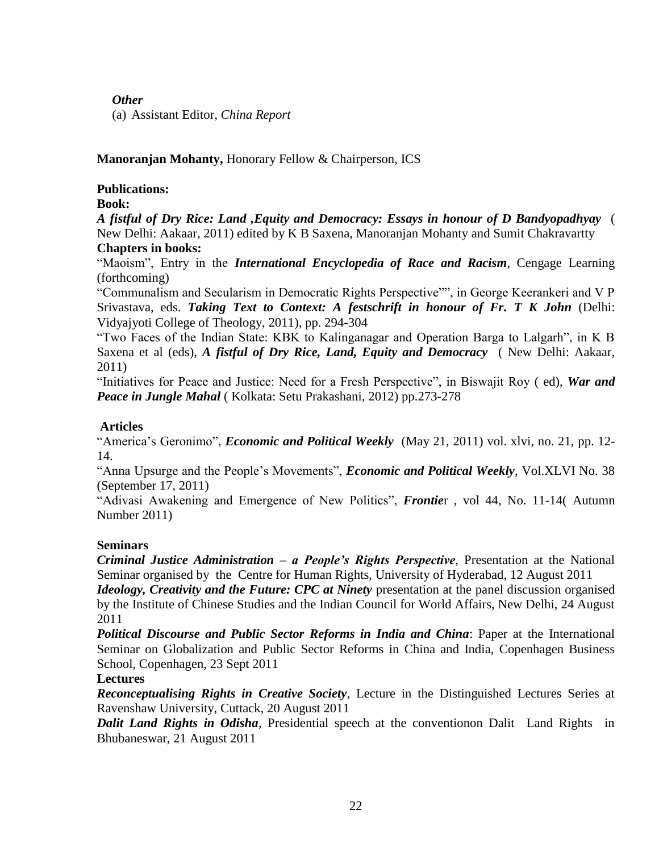*Other*

(a) Assistant Editor, *China Report*

# **Manoranjan Mohanty,** Honorary Fellow & Chairperson, ICS

# **Publications:**

# **Book:**

*A fistful of Dry Rice: Land ,Equity and Democracy: Essays in honour of D Bandyopadhyay* ( New Delhi: Aakaar, 2011) edited by K B Saxena, Manoranjan Mohanty and Sumit Chakravartty **Chapters in books:**

"Maoism", Entry in the *International Encyclopedia of Race and Racism*, Cengage Learning (forthcoming)

"Communalism and Secularism in Democratic Rights Perspective"", in George Keerankeri and V P Srivastava, eds. *Taking Text to Context: A festschrift in honour of Fr. T K John* (Delhi: Vidyajyoti College of Theology, 2011), pp. 294-304

"Two Faces of the Indian State: KBK to Kalinganagar and Operation Barga to Lalgarh", in K B Saxena et al (eds), *A fistful of Dry Rice, Land, Equity and Democracy* ( New Delhi: Aakaar, 2011)

"Initiatives for Peace and Justice: Need for a Fresh Perspective", in Biswajit Roy ( ed), *War and Peace in Jungle Mahal* ( Kolkata: Setu Prakashani, 2012) pp.273-278

# **Articles**

"America's Geronimo", *Economic and Political Weekly* (May 21, 2011) vol. xlvi, no. 21, pp. 12-14.

"Anna Upsurge and the People"s Movements", *Economic and Political Weekly*, Vol.XLVI No. 38 (September 17, 2011)

"Adivasi Awakening and Emergence of New Politics", *Frontie*r , vol 44, No. 11-14( Autumn Number 2011)

# **Seminars**

*Criminal Justice Administration – a People's Rights Perspective*, Presentation at the National Seminar organised by the Centre for Human Rights, University of Hyderabad, 12 August 2011

*Ideology, Creativity and the Future: CPC at Ninety* presentation at the panel discussion organised by the Institute of Chinese Studies and the Indian Council for World Affairs, New Delhi, 24 August 2011

*Political Discourse and Public Sector Reforms in India and China*: Paper at the International Seminar on Globalization and Public Sector Reforms in China and India, Copenhagen Business School, Copenhagen, 23 Sept 2011

# **Lectures**

*Reconceptualising Rights in Creative Society*, Lecture in the Distinguished Lectures Series at Ravenshaw University, Cuttack, 20 August 2011

*Dalit Land Rights in Odisha*, Presidential speech at the conventionon Dalit Land Rights in Bhubaneswar, 21 August 2011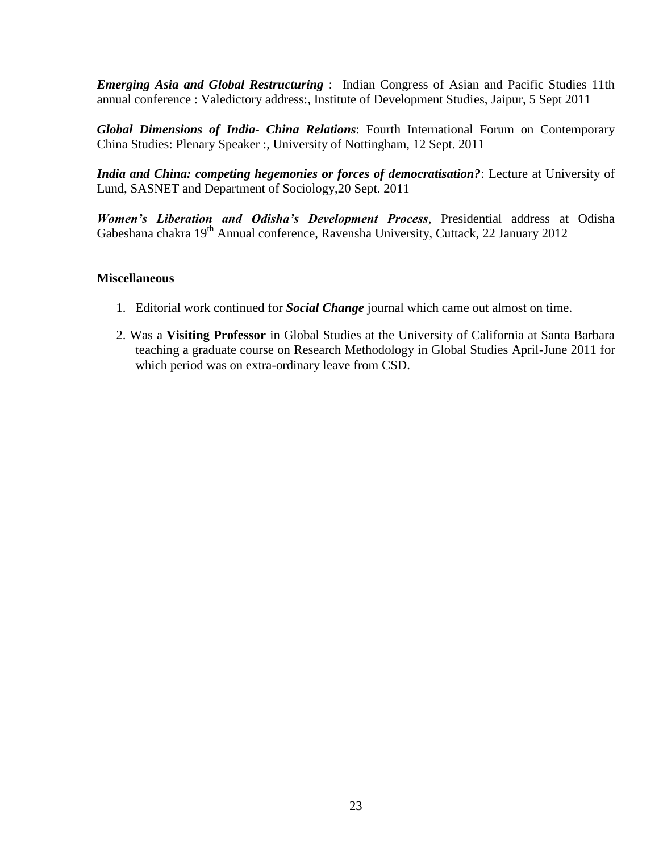*Emerging Asia and Global Restructuring* : Indian Congress of Asian and Pacific Studies 11th annual conference : Valedictory address:, Institute of Development Studies, Jaipur, 5 Sept 2011

*Global Dimensions of India- China Relations*: Fourth International Forum on Contemporary China Studies: Plenary Speaker :, University of Nottingham, 12 Sept. 2011

*India and China: competing hegemonies or forces of democratisation?*: Lecture at University of Lund, SASNET and Department of Sociology,20 Sept. 2011

*Women's Liberation and Odisha's Development Process*, Presidential address at Odisha Gabeshana chakra 19<sup>th</sup> Annual conference, Ravensha University, Cuttack, 22 January 2012

## **Miscellaneous**

- 1. Editorial work continued for *Social Change* journal which came out almost on time.
- 2. Was a **Visiting Professor** in Global Studies at the University of California at Santa Barbara teaching a graduate course on Research Methodology in Global Studies April-June 2011 for which period was on extra-ordinary leave from CSD.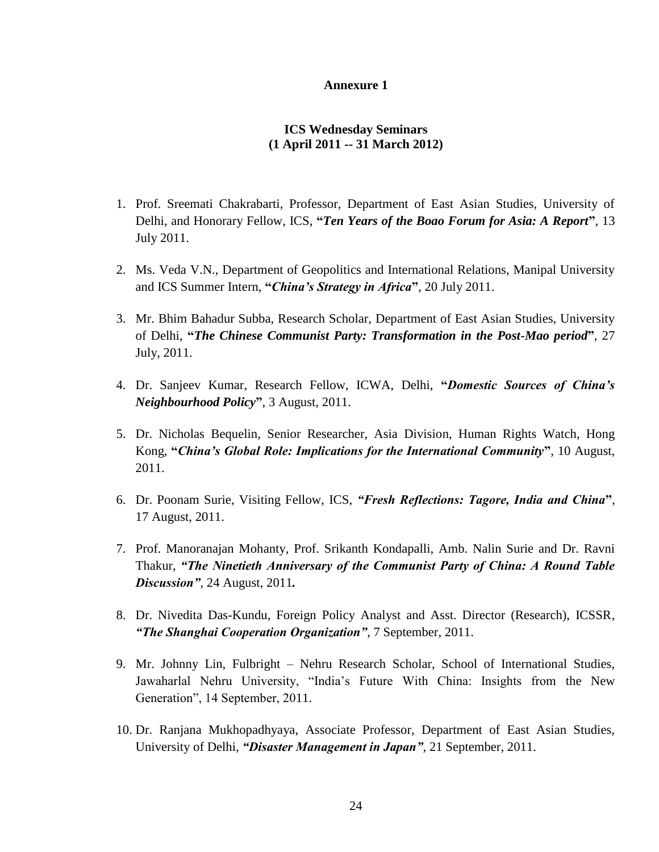#### **Annexure 1**

#### **ICS Wednesday Seminars (1 April 2011 -- 31 March 2012)**

- 1. Prof. Sreemati Chakrabarti, Professor, Department of East Asian Studies, University of Delhi, and Honorary Fellow, ICS, **"***Ten Years of the Boao Forum for Asia: A Report***"**, 13 July 2011.
- 2. Ms. Veda V.N., Department of Geopolitics and International Relations, Manipal University and ICS Summer Intern, **"***China's Strategy in Africa***"**, 20 July 2011.
- 3. Mr. Bhim Bahadur Subba, Research Scholar, Department of East Asian Studies, University of Delhi, **"***The Chinese Communist Party: Transformation in the Post-Mao period***"**, 27 July, 2011.
- 4. Dr. Sanjeev Kumar, Research Fellow, ICWA, Delhi, **"***Domestic Sources of China's Neighbourhood Policy***"**, 3 August, 2011.
- 5. Dr. Nicholas Bequelin, Senior Researcher, Asia Division, Human Rights Watch, Hong Kong, **"***China's Global Role: Implications for the International Community***"**, 10 August, 2011.
- 6. Dr. Poonam Surie, Visiting Fellow, ICS, *"Fresh Reflections: Tagore, India and China***"**, 17 August, 2011.
- 7. Prof. Manoranajan Mohanty, Prof. Srikanth Kondapalli, Amb. Nalin Surie and Dr. Ravni Thakur, *"The Ninetieth Anniversary of the Communist Party of China: A Round Table Discussion"*, 24 August, 2011*.*
- 8. Dr. Nivedita Das-Kundu, Foreign Policy Analyst and Asst. Director (Research), ICSSR, *"The Shanghai Cooperation Organization"*, 7 September, 2011.
- 9. Mr. Johnny Lin, Fulbright Nehru Research Scholar, School of International Studies, Jawaharlal Nehru University, "India"s Future With China: Insights from the New Generation", 14 September, 2011.
- 10. Dr. Ranjana Mukhopadhyaya, Associate Professor, Department of East Asian Studies, University of Delhi, *"Disaster Management in Japan"*, 21 September, 2011.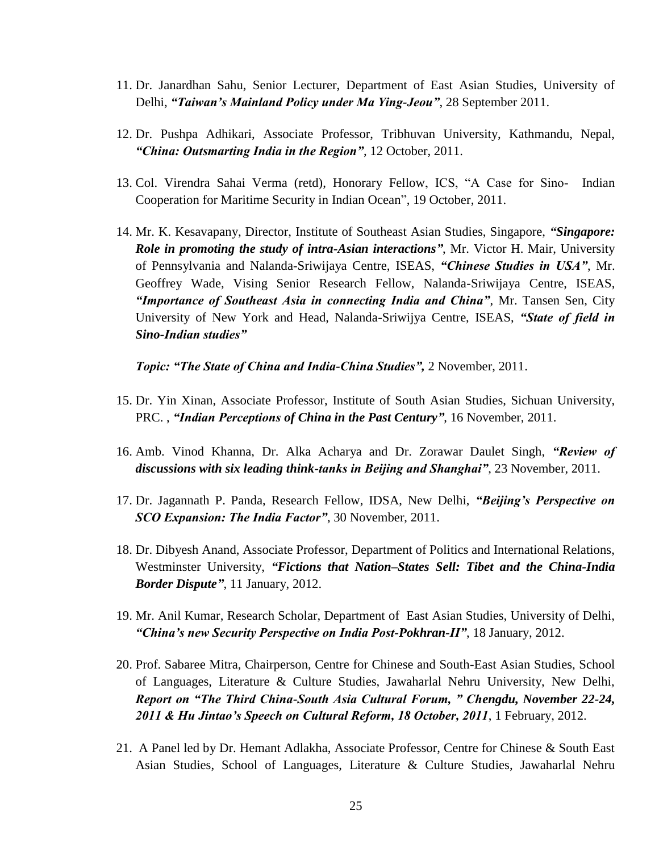- 11. Dr. Janardhan Sahu, Senior Lecturer, Department of East Asian Studies, University of Delhi, *"Taiwan's Mainland Policy under Ma Ying-Jeou"*, 28 September 2011.
- 12. Dr. Pushpa Adhikari, Associate Professor, Tribhuvan University, Kathmandu, Nepal, *"China: Outsmarting India in the Region"*, 12 October, 2011.
- 13. Col. Virendra Sahai Verma (retd), Honorary Fellow, ICS, "A Case for Sino- Indian Cooperation for Maritime Security in Indian Ocean", 19 October, 2011.
- 14. Mr. K. Kesavapany, Director, Institute of Southeast Asian Studies, Singapore, *"Singapore: Role in promoting the study of intra-Asian interactions"*, Mr. Victor H. Mair, University of Pennsylvania and Nalanda-Sriwijaya Centre, ISEAS, *"Chinese Studies in USA"*, Mr. Geoffrey Wade, Vising Senior Research Fellow, Nalanda-Sriwijaya Centre, ISEAS, *"Importance of Southeast Asia in connecting India and China"*, Mr. Tansen Sen, City University of New York and Head, Nalanda-Sriwijya Centre, ISEAS, *"State of field in Sino-Indian studies"*

*Topic: "The State of China and India-China Studies",* 2 November, 2011.

- 15. Dr. Yin Xinan, Associate Professor, Institute of South Asian Studies, Sichuan University, PRC. , *"Indian Perceptions of China in the Past Century"*, 16 November, 2011.
- 16. Amb. Vinod Khanna, Dr. Alka Acharya and Dr. Zorawar Daulet Singh, *"Review of discussions with six leading think-tanks in Beijing and Shanghai"*, 23 November, 2011.
- 17. Dr. Jagannath P. Panda, Research Fellow, IDSA, New Delhi, *"Beijing's Perspective on SCO Expansion: The India Factor"*, 30 November, 2011.
- 18. Dr. Dibyesh Anand, Associate Professor, Department of Politics and International Relations, Westminster University, *"Fictions that Nation–States Sell: Tibet and the China-India Border Dispute"*, 11 January, 2012.
- 19. Mr. Anil Kumar, Research Scholar, Department of East Asian Studies, University of Delhi, *"China's new Security Perspective on India Post-Pokhran-II"*, 18 January, 2012.
- 20. Prof. Sabaree Mitra, Chairperson, Centre for Chinese and South-East Asian Studies, School of Languages, Literature & Culture Studies, Jawaharlal Nehru University, New Delhi, *Report on "The Third China-South Asia Cultural Forum, " Chengdu, November 22-24, 2011 & Hu Jintao's Speech on Cultural Reform, 18 October, 2011*, 1 February, 2012.
- 21. A Panel led by Dr. Hemant Adlakha, Associate Professor, Centre for Chinese & South East Asian Studies, School of Languages, Literature & Culture Studies, Jawaharlal Nehru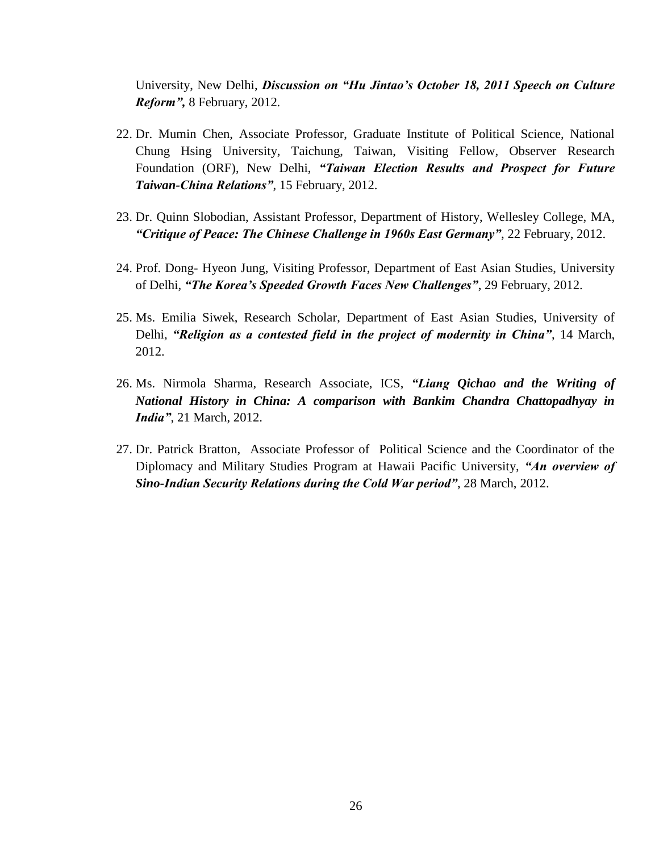University, New Delhi, *Discussion on "Hu Jintao's October 18, 2011 Speech on Culture Reform",* 8 February, 2012*.*

- 22. Dr. Mumin Chen, Associate Professor, Graduate Institute of Political Science, National Chung Hsing University, Taichung, Taiwan, Visiting Fellow, Observer Research Foundation (ORF), New Delhi, *"Taiwan Election Results and Prospect for Future Taiwan-China Relations"*, 15 February, 2012.
- 23. Dr. Quinn Slobodian, Assistant Professor, Department of History, Wellesley College, MA, *"Critique of Peace: The Chinese Challenge in 1960s East Germany"*, 22 February, 2012.
- 24. Prof. Dong- Hyeon Jung, Visiting Professor, Department of East Asian Studies, University of Delhi, *"The Korea's Speeded Growth Faces New Challenges"*, 29 February, 2012.
- 25. Ms. Emilia Siwek, Research Scholar, Department of East Asian Studies, University of Delhi, *"Religion as a contested field in the project of modernity in China"*, 14 March, 2012.
- 26. Ms. Nirmola Sharma, Research Associate, ICS, *"Liang Qichao and the Writing of National History in China: A comparison with Bankim Chandra Chattopadhyay in India"*, 21 March, 2012.
- 27. Dr. Patrick Bratton, Associate Professor of Political Science and the Coordinator of the Diplomacy and Military Studies Program at Hawaii Pacific University, *"An overview of Sino-Indian Security Relations during the Cold War period"*, 28 March, 2012.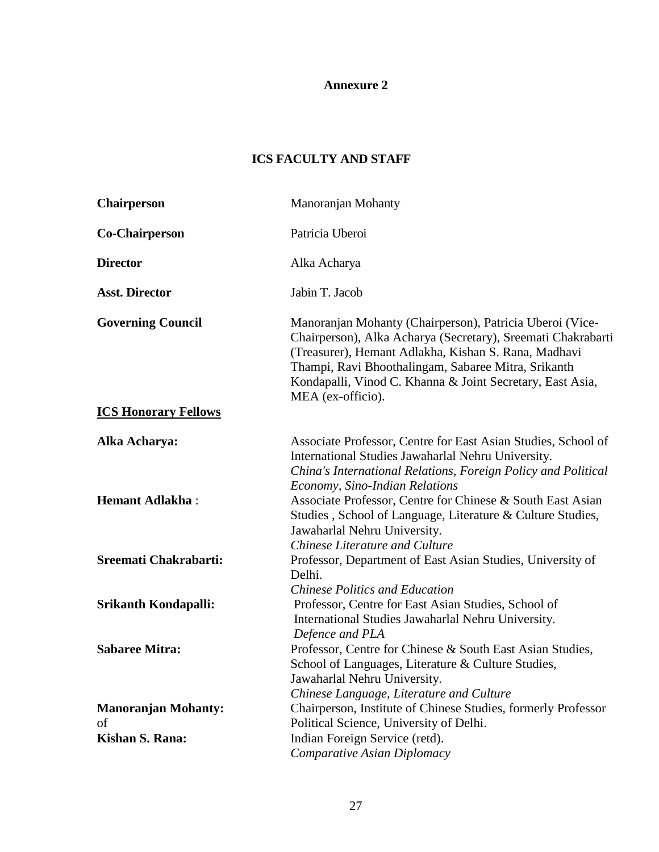# **Annexure 2**

# **ICS FACULTY AND STAFF**

| <b>Chairperson</b>          | Manoranjan Mohanty                                                                                                                                                                                                                                                                                                        |  |  |
|-----------------------------|---------------------------------------------------------------------------------------------------------------------------------------------------------------------------------------------------------------------------------------------------------------------------------------------------------------------------|--|--|
| <b>Co-Chairperson</b>       | Patricia Uberoi                                                                                                                                                                                                                                                                                                           |  |  |
| <b>Director</b>             | Alka Acharya                                                                                                                                                                                                                                                                                                              |  |  |
| <b>Asst. Director</b>       | Jabin T. Jacob                                                                                                                                                                                                                                                                                                            |  |  |
| <b>Governing Council</b>    | Manoranjan Mohanty (Chairperson), Patricia Uberoi (Vice-<br>Chairperson), Alka Acharya (Secretary), Sreemati Chakrabarti<br>(Treasurer), Hemant Adlakha, Kishan S. Rana, Madhavi<br>Thampi, Ravi Bhoothalingam, Sabaree Mitra, Srikanth<br>Kondapalli, Vinod C. Khanna & Joint Secretary, East Asia,<br>MEA (ex-officio). |  |  |
| <b>ICS Honorary Fellows</b> |                                                                                                                                                                                                                                                                                                                           |  |  |
| Alka Acharya:               | Associate Professor, Centre for East Asian Studies, School of<br>International Studies Jawaharlal Nehru University.<br>China's International Relations, Foreign Policy and Political<br>Economy, Sino-Indian Relations                                                                                                    |  |  |
| <b>Hemant Adlakha:</b>      | Associate Professor, Centre for Chinese & South East Asian<br>Studies, School of Language, Literature & Culture Studies,<br>Jawaharlal Nehru University.<br>Chinese Literature and Culture                                                                                                                                |  |  |
| Sreemati Chakrabarti:       | Professor, Department of East Asian Studies, University of<br>Delhi.                                                                                                                                                                                                                                                      |  |  |
| <b>Srikanth Kondapalli:</b> | <b>Chinese Politics and Education</b><br>Professor, Centre for East Asian Studies, School of<br>International Studies Jawaharlal Nehru University.<br>Defence and PLA                                                                                                                                                     |  |  |
| <b>Sabaree Mitra:</b>       | Professor, Centre for Chinese & South East Asian Studies,<br>School of Languages, Literature & Culture Studies,<br>Jawaharlal Nehru University.<br>Chinese Language, Literature and Culture                                                                                                                               |  |  |
| <b>Manoranjan Mohanty:</b>  | Chairperson, Institute of Chinese Studies, formerly Professor                                                                                                                                                                                                                                                             |  |  |
| of                          | Political Science, University of Delhi.                                                                                                                                                                                                                                                                                   |  |  |
| <b>Kishan S. Rana:</b>      | Indian Foreign Service (retd).<br>Comparative Asian Diplomacy                                                                                                                                                                                                                                                             |  |  |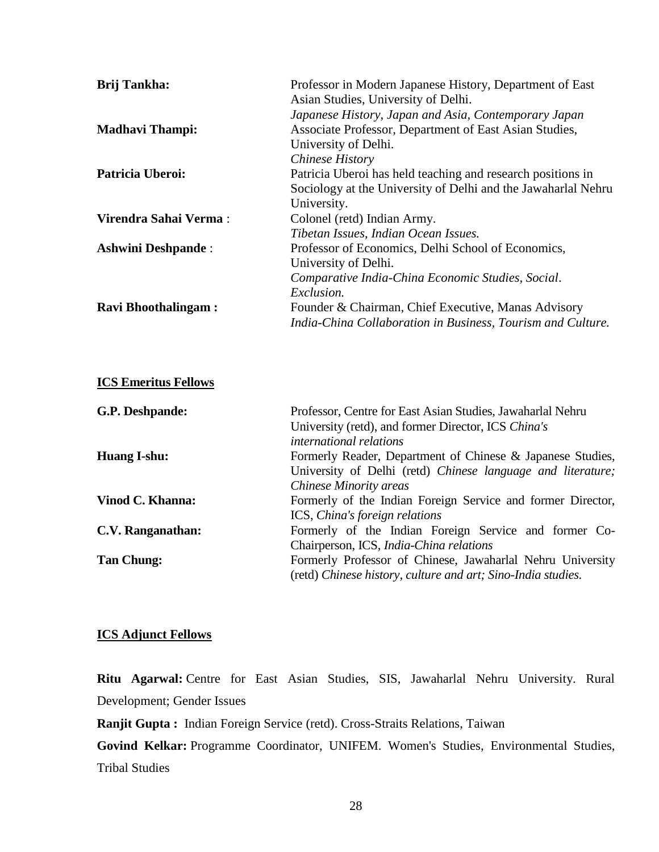| <b>Brij Tankha:</b>        | Professor in Modern Japanese History, Department of East<br>Asian Studies, University of Delhi. |  |  |
|----------------------------|-------------------------------------------------------------------------------------------------|--|--|
|                            | Japanese History, Japan and Asia, Contemporary Japan                                            |  |  |
| <b>Madhavi Thampi:</b>     | Associate Professor, Department of East Asian Studies,                                          |  |  |
|                            | University of Delhi.                                                                            |  |  |
|                            | <b>Chinese History</b>                                                                          |  |  |
| Patricia Uberoi:           | Patricia Uberoi has held teaching and research positions in                                     |  |  |
|                            | Sociology at the University of Delhi and the Jawaharlal Nehru                                   |  |  |
|                            | University.                                                                                     |  |  |
| Virendra Sahai Verma:      | Colonel (retd) Indian Army.                                                                     |  |  |
|                            | Tibetan Issues, Indian Ocean Issues.                                                            |  |  |
| <b>Ashwini Deshpande:</b>  | Professor of Economics, Delhi School of Economics,                                              |  |  |
|                            | University of Delhi.                                                                            |  |  |
|                            | Comparative India-China Economic Studies, Social.                                               |  |  |
|                            | Exclusion.                                                                                      |  |  |
| <b>Ravi Bhoothalingam:</b> | Founder & Chairman, Chief Executive, Manas Advisory                                             |  |  |
|                            | India-China Collaboration in Business, Tourism and Culture.                                     |  |  |

# **ICS Emeritus Fellows**

| Professor, Centre for East Asian Studies, Jawaharlal Nehru<br>University (retd), and former Director, ICS China's |  |  |
|-------------------------------------------------------------------------------------------------------------------|--|--|
|                                                                                                                   |  |  |
| Formerly Reader, Department of Chinese & Japanese Studies,                                                        |  |  |
| University of Delhi (retd) Chinese language and literature;                                                       |  |  |
| Chinese Minority areas                                                                                            |  |  |
| Formerly of the Indian Foreign Service and former Director,                                                       |  |  |
| ICS, China's foreign relations                                                                                    |  |  |
| Formerly of the Indian Foreign Service and former Co-                                                             |  |  |
| Chairperson, ICS, India-China relations                                                                           |  |  |
| Formerly Professor of Chinese, Jawaharlal Nehru University                                                        |  |  |
| (retd) Chinese history, culture and art; Sino-India studies.                                                      |  |  |
|                                                                                                                   |  |  |

# **ICS Adjunct Fellows**

**Ritu Agarwal:** Centre for East Asian Studies, SIS, Jawaharlal Nehru University. Rural Development; Gender Issues

**Ranjit Gupta :** Indian Foreign Service (retd). Cross-Straits Relations, Taiwan

**Govind Kelkar:** Programme Coordinator, UNIFEM. Women's Studies, Environmental Studies, Tribal Studies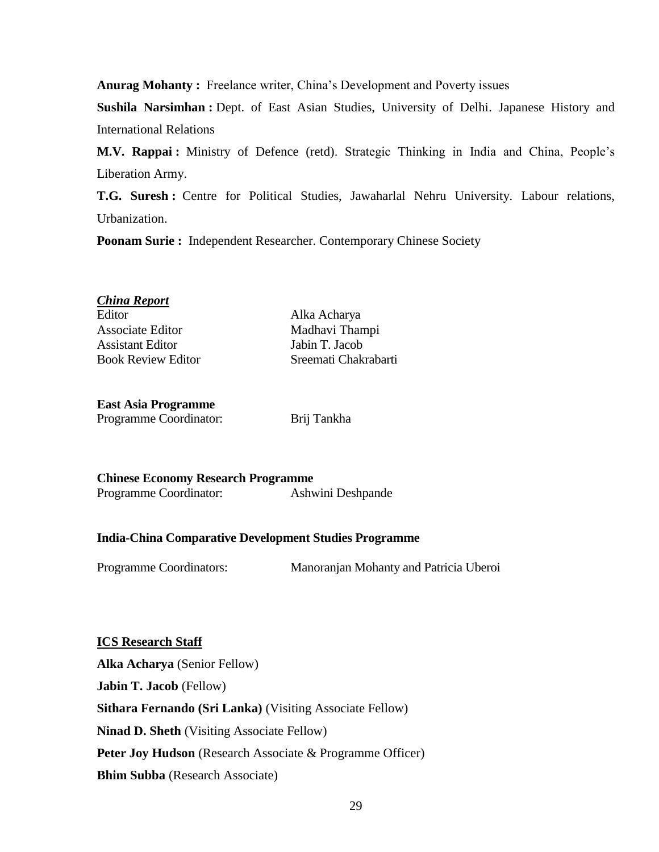**Anurag Mohanty :** Freelance writer, China"s Development and Poverty issues

**Sushila Narsimhan :** Dept. of East Asian Studies, University of Delhi. Japanese History and International Relations

**M.V. Rappai :** Ministry of Defence (retd). Strategic Thinking in India and China, People"s Liberation Army.

**T.G. Suresh :** Centre for Political Studies, Jawaharlal Nehru University. Labour relations, Urbanization.

**Poonam Surie :** Independent Researcher. Contemporary Chinese Society

| <b>China Report</b>       |                      |  |  |
|---------------------------|----------------------|--|--|
| Editor                    | Alka Acharya         |  |  |
| <b>Associate Editor</b>   | Madhavi Thampi       |  |  |
| <b>Assistant Editor</b>   | Jabin T. Jacob       |  |  |
| <b>Book Review Editor</b> | Sreemati Chakrabarti |  |  |
|                           |                      |  |  |

**East Asia Programme**

Programme Coordinator: Brij Tankha

**Chinese Economy Research Programme** Programme Coordinator: Ashwini Deshpande

#### **India-China Comparative Development Studies Programme**

Programme Coordinators: Manoranjan Mohanty and Patricia Uberoi

**ICS Research Staff Alka Acharya** (Senior Fellow) **Jabin T. Jacob** (Fellow) **Sithara Fernando (Sri Lanka)** (Visiting Associate Fellow) **Ninad D. Sheth** (Visiting Associate Fellow) **Peter Joy Hudson** (Research Associate & Programme Officer) **Bhim Subba** (Research Associate)